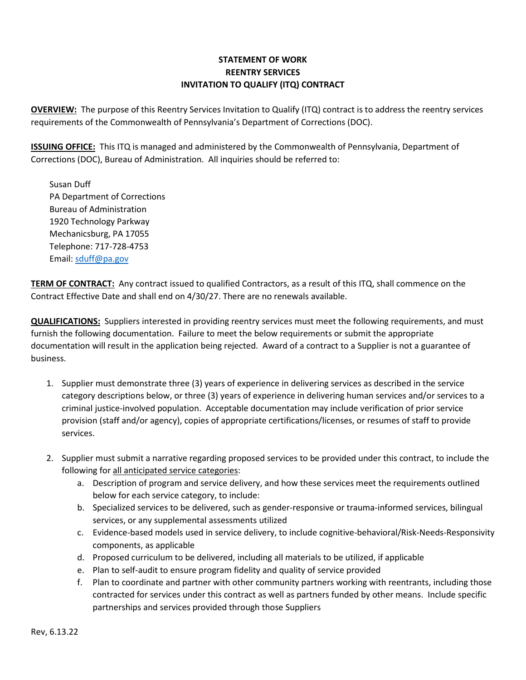# **STATEMENT OF WORK REENTRY SERVICES INVITATION TO QUALIFY (ITQ) CONTRACT**

**OVERVIEW:** The purpose of this Reentry Services Invitation to Qualify (ITQ) contract is to address the reentry services requirements of the Commonwealth of Pennsylvania's Department of Corrections (DOC).

**ISSUING OFFICE:** This ITQ is managed and administered by the Commonwealth of Pennsylvania, Department of Corrections (DOC), Bureau of Administration. All inquiries should be referred to:

Susan Duff PA Department of Corrections Bureau of Administration 1920 Technology Parkway Mechanicsburg, PA 17055 Telephone: 717-728-4753 Email[: sduff@pa.gov](mailto:sduff@pa.gov)

**TERM OF CONTRACT:** Any contract issued to qualified Contractors, as a result of this ITQ, shall commence on the Contract Effective Date and shall end on 4/30/27. There are no renewals available.

**QUALIFICATIONS:** Suppliers interested in providing reentry services must meet the following requirements, and must furnish the following documentation. Failure to meet the below requirements or submit the appropriate documentation will result in the application being rejected. Award of a contract to a Supplier is not a guarantee of business.

- 1. Supplier must demonstrate three (3) years of experience in delivering services as described in the service category descriptions below, or three (3) years of experience in delivering human services and/or services to a criminal justice-involved population. Acceptable documentation may include verification of prior service provision (staff and/or agency), copies of appropriate certifications/licenses, or resumes of staff to provide services.
- 2. Supplier must submit a narrative regarding proposed services to be provided under this contract, to include the following for all anticipated service categories:
	- a. Description of program and service delivery, and how these services meet the requirements outlined below for each service category, to include:
	- b. Specialized services to be delivered, such as gender-responsive or trauma-informed services, bilingual services, or any supplemental assessments utilized
	- c. Evidence-based models used in service delivery, to include cognitive-behavioral/Risk-Needs-Responsivity components, as applicable
	- d. Proposed curriculum to be delivered, including all materials to be utilized, if applicable
	- e. Plan to self-audit to ensure program fidelity and quality of service provided
	- f. Plan to coordinate and partner with other community partners working with reentrants, including those contracted for services under this contract as well as partners funded by other means. Include specific partnerships and services provided through those Suppliers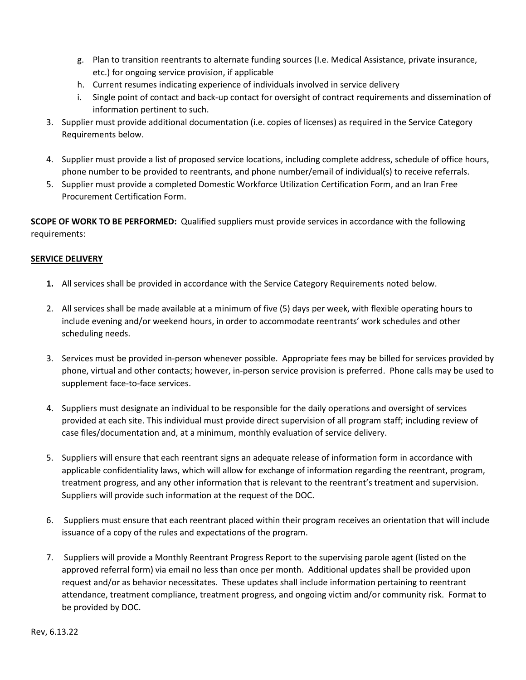- g. Plan to transition reentrants to alternate funding sources (I.e. Medical Assistance, private insurance, etc.) for ongoing service provision, if applicable
- h. Current resumes indicating experience of individuals involved in service delivery
- i. Single point of contact and back-up contact for oversight of contract requirements and dissemination of information pertinent to such.
- 3. Supplier must provide additional documentation (i.e. copies of licenses) as required in the Service Category Requirements below.
- 4. Supplier must provide a list of proposed service locations, including complete address, schedule of office hours, phone number to be provided to reentrants, and phone number/email of individual(s) to receive referrals.
- 5. Supplier must provide a completed Domestic Workforce Utilization Certification Form, and an Iran Free Procurement Certification Form.

**SCOPE OF WORK TO BE PERFORMED:** Qualified suppliers must provide services in accordance with the following requirements:

## **SERVICE DELIVERY**

- **1.** All services shall be provided in accordance with the Service Category Requirements noted below.
- 2. All services shall be made available at a minimum of five (5) days per week, with flexible operating hours to include evening and/or weekend hours, in order to accommodate reentrants' work schedules and other scheduling needs.
- 3. Services must be provided in-person whenever possible. Appropriate fees may be billed for services provided by phone, virtual and other contacts; however, in-person service provision is preferred. Phone calls may be used to supplement face-to-face services.
- 4. Suppliers must designate an individual to be responsible for the daily operations and oversight of services provided at each site. This individual must provide direct supervision of all program staff; including review of case files/documentation and, at a minimum, monthly evaluation of service delivery.
- 5. Suppliers will ensure that each reentrant signs an adequate release of information form in accordance with applicable confidentiality laws, which will allow for exchange of information regarding the reentrant, program, treatment progress, and any other information that is relevant to the reentrant's treatment and supervision. Suppliers will provide such information at the request of the DOC.
- 6. Suppliers must ensure that each reentrant placed within their program receives an orientation that will include issuance of a copy of the rules and expectations of the program.
- 7. Suppliers will provide a Monthly Reentrant Progress Report to the supervising parole agent (listed on the approved referral form) via email no less than once per month. Additional updates shall be provided upon request and/or as behavior necessitates. These updates shall include information pertaining to reentrant attendance, treatment compliance, treatment progress, and ongoing victim and/or community risk. Format to be provided by DOC.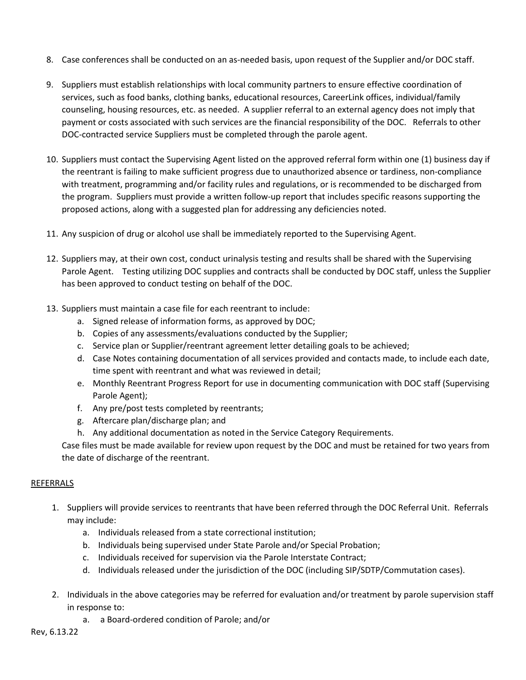- 8. Case conferences shall be conducted on an as-needed basis, upon request of the Supplier and/or DOC staff.
- 9. Suppliers must establish relationships with local community partners to ensure effective coordination of services, such as food banks, clothing banks, educational resources, CareerLink offices, individual/family counseling, housing resources, etc. as needed. A supplier referral to an external agency does not imply that payment or costs associated with such services are the financial responsibility of the DOC. Referrals to other DOC-contracted service Suppliers must be completed through the parole agent.
- 10. Suppliers must contact the Supervising Agent listed on the approved referral form within one (1) business day if the reentrant is failing to make sufficient progress due to unauthorized absence or tardiness, non-compliance with treatment, programming and/or facility rules and regulations, or is recommended to be discharged from the program. Suppliers must provide a written follow-up report that includes specific reasons supporting the proposed actions, along with a suggested plan for addressing any deficiencies noted.
- 11. Any suspicion of drug or alcohol use shall be immediately reported to the Supervising Agent.
- 12. Suppliers may, at their own cost, conduct urinalysis testing and results shall be shared with the Supervising Parole Agent. Testing utilizing DOC supplies and contracts shall be conducted by DOC staff, unless the Supplier has been approved to conduct testing on behalf of the DOC.
- 13. Suppliers must maintain a case file for each reentrant to include:
	- a. Signed release of information forms, as approved by DOC;
	- b. Copies of any assessments/evaluations conducted by the Supplier;
	- c. Service plan or Supplier/reentrant agreement letter detailing goals to be achieved;
	- d. Case Notes containing documentation of all services provided and contacts made, to include each date, time spent with reentrant and what was reviewed in detail;
	- e. Monthly Reentrant Progress Report for use in documenting communication with DOC staff (Supervising Parole Agent);
	- f. Any pre/post tests completed by reentrants;
	- g. Aftercare plan/discharge plan; and
	- h. Any additional documentation as noted in the Service Category Requirements.

Case files must be made available for review upon request by the DOC and must be retained for two years from the date of discharge of the reentrant.

## REFERRALS

- 1. Suppliers will provide services to reentrants that have been referred through the DOC Referral Unit. Referrals may include:
	- a. Individuals released from a state correctional institution;
	- b. Individuals being supervised under State Parole and/or Special Probation;
	- c. Individuals received for supervision via the Parole Interstate Contract;
	- d. Individuals released under the jurisdiction of the DOC (including SIP/SDTP/Commutation cases).
- 2. Individuals in the above categories may be referred for evaluation and/or treatment by parole supervision staff in response to:
	- a. a Board-ordered condition of Parole; and/or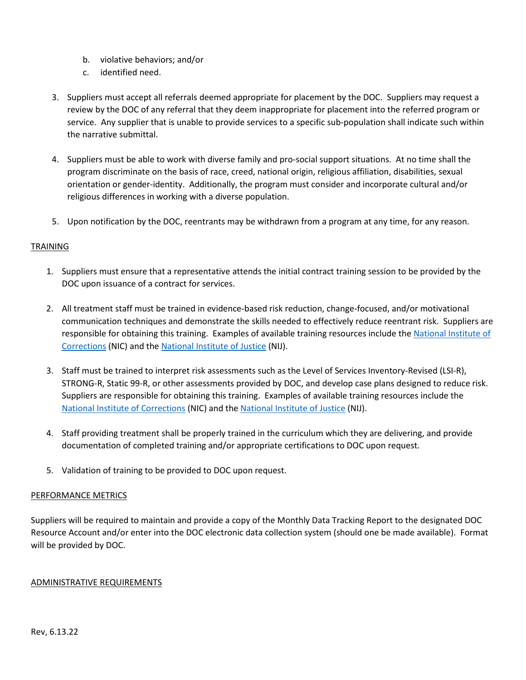- b. violative behaviors; and/or
- c. identified need.
- 3. Suppliers must accept all referrals deemed appropriate for placement by the DOC. Suppliers may request a review by the DOC of any referral that they deem inappropriate for placement into the referred program or service. Any supplier that is unable to provide services to a specific sub-population shall indicate such within the narrative submittal.
- 4. Suppliers must be able to work with diverse family and pro-social support situations. At no time shall the program discriminate on the basis of race, creed, national origin, religious affiliation, disabilities, sexual orientation or gender-identity. Additionally, the program must consider and incorporate cultural and/or religious differences in working with a diverse population.
- 5. Upon notification by the DOC, reentrants may be withdrawn from a program at any time, for any reason.

### TRAINING

- 1. Suppliers must ensure that a representative attends the initial contract training session to be provided by the DOC upon issuance of a contract for services.
- 2. All treatment staff must be trained in evidence-based risk reduction, change-focused, and/or motivational communication techniques and demonstrate the skills needed to effectively reduce reentrant risk. Suppliers are responsible for obtaining this training. Examples of available training resources include th[e National Institute of](https://nicic.gov/)  [Corrections](https://nicic.gov/) (NIC) and th[e National Institute of Justice](https://nij.ojp.gov/) (NIJ).
- 3. Staff must be trained to interpret risk assessments such as the Level of Services Inventory-Revised (LSI-R), STRONG-R, Static 99-R, or other assessments provided by DOC, and develop case plans designed to reduce risk. Suppliers are responsible for obtaining this training. Examples of available training resources include the [National Institute of Corrections](https://nicic.gov/) (NIC) and the [National Institute of Justice](https://nij.ojp.gov/) (NIJ).
- 4. Staff providing treatment shall be properly trained in the curriculum which they are delivering, and provide documentation of completed training and/or appropriate certifications to DOC upon request.
- 5. Validation of training to be provided to DOC upon request.

#### PERFORMANCE METRICS

Suppliers will be required to maintain and provide a copy of the Monthly Data Tracking Report to the designated DOC Resource Account and/or enter into the DOC electronic data collection system (should one be made available). Format will be provided by DOC.

#### ADMINISTRATIVE REQUIREMENTS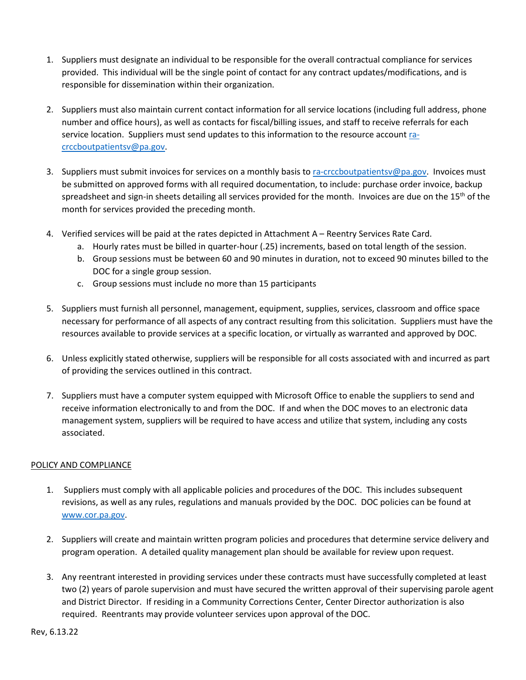- 1. Suppliers must designate an individual to be responsible for the overall contractual compliance for services provided. This individual will be the single point of contact for any contract updates/modifications, and is responsible for dissemination within their organization.
- 2. Suppliers must also maintain current contact information for all service locations (including full address, phone number and office hours), as well as contacts for fiscal/billing issues, and staff to receive referrals for each service location. Suppliers must send updates to this information to the resource account [ra](mailto:ra-crccboutpatientsv@pa.gov)[crccboutpatientsv@pa.gov.](mailto:ra-crccboutpatientsv@pa.gov)
- 3. Suppliers must submit invoices for services on a monthly basis to [ra-crccboutpatientsv@pa.gov.](mailto:ra-crccboutpatientsv@pa.gov) Invoices must be submitted on approved forms with all required documentation, to include: purchase order invoice, backup spreadsheet and sign-in sheets detailing all services provided for the month. Invoices are due on the 15<sup>th</sup> of the month for services provided the preceding month.
- 4. Verified services will be paid at the rates depicted in Attachment A Reentry Services Rate Card.
	- a. Hourly rates must be billed in quarter-hour (.25) increments, based on total length of the session.
	- b. Group sessions must be between 60 and 90 minutes in duration, not to exceed 90 minutes billed to the DOC for a single group session.
	- c. Group sessions must include no more than 15 participants
- 5. Suppliers must furnish all personnel, management, equipment, supplies, services, classroom and office space necessary for performance of all aspects of any contract resulting from this solicitation. Suppliers must have the resources available to provide services at a specific location, or virtually as warranted and approved by DOC.
- 6. Unless explicitly stated otherwise, suppliers will be responsible for all costs associated with and incurred as part of providing the services outlined in this contract.
- 7. Suppliers must have a computer system equipped with Microsoft Office to enable the suppliers to send and receive information electronically to and from the DOC. If and when the DOC moves to an electronic data management system, suppliers will be required to have access and utilize that system, including any costs associated.

## POLICY AND COMPLIANCE

- 1. Suppliers must comply with all applicable policies and procedures of the DOC. This includes subsequent revisions, as well as any rules, regulations and manuals provided by the DOC. DOC policies can be found at [www.cor.pa.gov.](http://www.cor.pa.gov/)
- 2. Suppliers will create and maintain written program policies and procedures that determine service delivery and program operation. A detailed quality management plan should be available for review upon request.
- 3. Any reentrant interested in providing services under these contracts must have successfully completed at least two (2) years of parole supervision and must have secured the written approval of their supervising parole agent and District Director. If residing in a Community Corrections Center, Center Director authorization is also required. Reentrants may provide volunteer services upon approval of the DOC.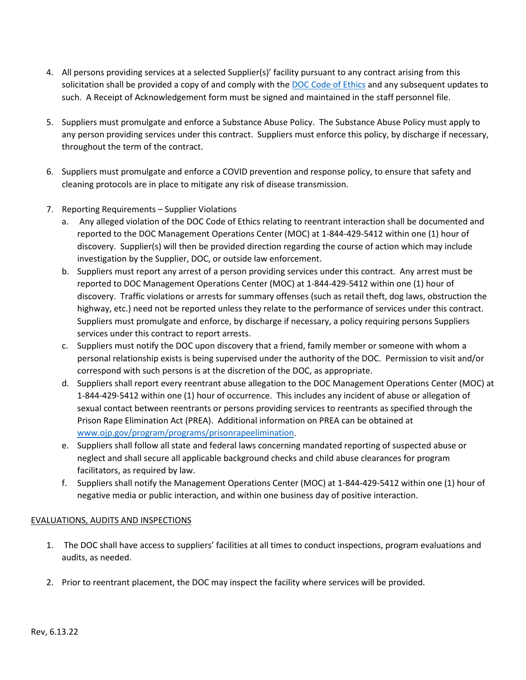- 4. All persons providing services at a selected Supplier(s)' facility pursuant to any contract arising from this solicitation shall be provided a copy of and comply with the [DOC Code of Ethics](https://www.cor.pa.gov/About%20Us/Documents/DOC%20Policies/Code%20of%20Ethics.pdf) and any subsequent updates to such. A Receipt of Acknowledgement form must be signed and maintained in the staff personnel file.
- 5. Suppliers must promulgate and enforce a Substance Abuse Policy. The Substance Abuse Policy must apply to any person providing services under this contract. Suppliers must enforce this policy, by discharge if necessary, throughout the term of the contract.
- 6. Suppliers must promulgate and enforce a COVID prevention and response policy, to ensure that safety and cleaning protocols are in place to mitigate any risk of disease transmission.
- 7. Reporting Requirements Supplier Violations
	- a. Any alleged violation of the DOC Code of Ethics relating to reentrant interaction shall be documented and reported to the DOC Management Operations Center (MOC) at 1-844-429-5412 within one (1) hour of discovery. Supplier(s) will then be provided direction regarding the course of action which may include investigation by the Supplier, DOC, or outside law enforcement.
	- b. Suppliers must report any arrest of a person providing services under this contract. Any arrest must be reported to DOC Management Operations Center (MOC) at 1-844-429-5412 within one (1) hour of discovery. Traffic violations or arrests for summary offenses (such as retail theft, dog laws, obstruction the highway, etc.) need not be reported unless they relate to the performance of services under this contract. Suppliers must promulgate and enforce, by discharge if necessary, a policy requiring persons Suppliers services under this contract to report arrests.
	- c. Suppliers must notify the DOC upon discovery that a friend, family member or someone with whom a personal relationship exists is being supervised under the authority of the DOC. Permission to visit and/or correspond with such persons is at the discretion of the DOC, as appropriate.
	- d. Suppliers shall report every reentrant abuse allegation to the DOC Management Operations Center (MOC) at 1-844-429-5412 within one (1) hour of occurrence. This includes any incident of abuse or allegation of sexual contact between reentrants or persons providing services to reentrants as specified through the Prison Rape Elimination Act (PREA). Additional information on PREA can be obtained at [www.ojp.gov/program/programs/prisonrapeelimination.](http://www.ojp.gov/program/programs/prisonrapeelimination)
	- e. Suppliers shall follow all state and federal laws concerning mandated reporting of suspected abuse or neglect and shall secure all applicable background checks and child abuse clearances for program facilitators, as required by law.
	- f. Suppliers shall notify the Management Operations Center (MOC) at 1-844-429-5412 within one (1) hour of negative media or public interaction, and within one business day of positive interaction.

## EVALUATIONS, AUDITS AND INSPECTIONS

- 1. The DOC shall have access to suppliers' facilities at all times to conduct inspections, program evaluations and audits, as needed.
- 2. Prior to reentrant placement, the DOC may inspect the facility where services will be provided.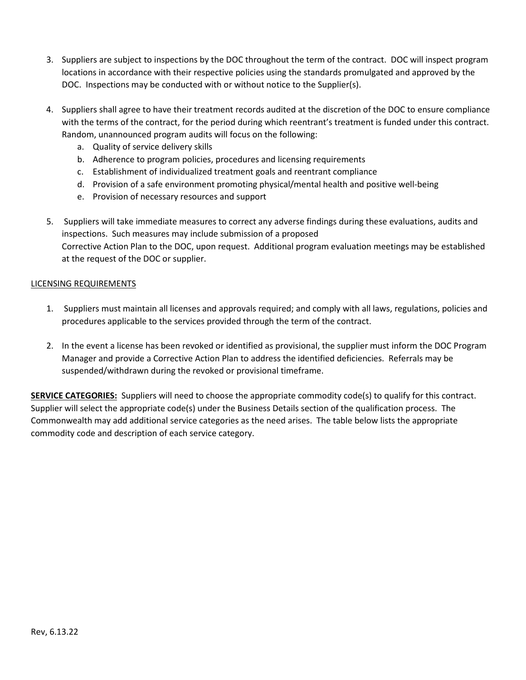- 3. Suppliers are subject to inspections by the DOC throughout the term of the contract. DOC will inspect program locations in accordance with their respective policies using the standards promulgated and approved by the DOC. Inspections may be conducted with or without notice to the Supplier(s).
- 4. Suppliers shall agree to have their treatment records audited at the discretion of the DOC to ensure compliance with the terms of the contract, for the period during which reentrant's treatment is funded under this contract. Random, unannounced program audits will focus on the following:
	- a. Quality of service delivery skills
	- b. Adherence to program policies, procedures and licensing requirements
	- c. Establishment of individualized treatment goals and reentrant compliance
	- d. Provision of a safe environment promoting physical/mental health and positive well-being
	- e. Provision of necessary resources and support
- 5. Suppliers will take immediate measures to correct any adverse findings during these evaluations, audits and inspections. Such measures may include submission of a proposed Corrective Action Plan to the DOC, upon request. Additional program evaluation meetings may be established at the request of the DOC or supplier.

### LICENSING REQUIREMENTS

- 1. Suppliers must maintain all licenses and approvals required; and comply with all laws, regulations, policies and procedures applicable to the services provided through the term of the contract.
- 2. In the event a license has been revoked or identified as provisional, the supplier must inform the DOC Program Manager and provide a Corrective Action Plan to address the identified deficiencies. Referrals may be suspended/withdrawn during the revoked or provisional timeframe.

**SERVICE CATEGORIES:** Suppliers will need to choose the appropriate commodity code(s) to qualify for this contract. Supplier will select the appropriate code(s) under the Business Details section of the qualification process. The Commonwealth may add additional service categories as the need arises. The table below lists the appropriate commodity code and description of each service category.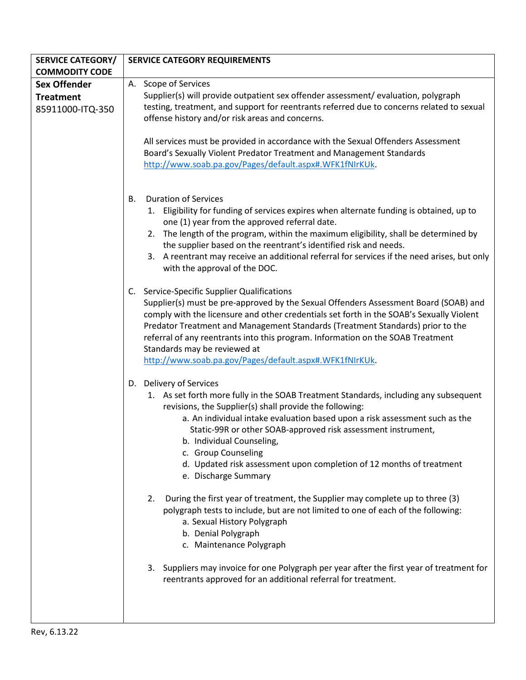| <b>SERVICE CATEGORY/</b> | <b>SERVICE CATEGORY REQUIREMENTS</b>                                                                                                                                       |
|--------------------------|----------------------------------------------------------------------------------------------------------------------------------------------------------------------------|
| <b>COMMODITY CODE</b>    |                                                                                                                                                                            |
| <b>Sex Offender</b>      | A. Scope of Services                                                                                                                                                       |
| <b>Treatment</b>         | Supplier(s) will provide outpatient sex offender assessment/ evaluation, polygraph                                                                                         |
| 85911000-ITQ-350         | testing, treatment, and support for reentrants referred due to concerns related to sexual                                                                                  |
|                          | offense history and/or risk areas and concerns.                                                                                                                            |
|                          |                                                                                                                                                                            |
|                          | All services must be provided in accordance with the Sexual Offenders Assessment                                                                                           |
|                          | Board's Sexually Violent Predator Treatment and Management Standards                                                                                                       |
|                          | http://www.soab.pa.gov/Pages/default.aspx#.WFK1fNIrKUk.                                                                                                                    |
|                          |                                                                                                                                                                            |
|                          | <b>Duration of Services</b><br>В.                                                                                                                                          |
|                          | 1. Eligibility for funding of services expires when alternate funding is obtained, up to                                                                                   |
|                          | one (1) year from the approved referral date.                                                                                                                              |
|                          | 2. The length of the program, within the maximum eligibility, shall be determined by                                                                                       |
|                          | the supplier based on the reentrant's identified risk and needs.                                                                                                           |
|                          | 3. A reentrant may receive an additional referral for services if the need arises, but only                                                                                |
|                          | with the approval of the DOC.                                                                                                                                              |
|                          |                                                                                                                                                                            |
|                          | C. Service-Specific Supplier Qualifications                                                                                                                                |
|                          | Supplier(s) must be pre-approved by the Sexual Offenders Assessment Board (SOAB) and                                                                                       |
|                          | comply with the licensure and other credentials set forth in the SOAB's Sexually Violent<br>Predator Treatment and Management Standards (Treatment Standards) prior to the |
|                          | referral of any reentrants into this program. Information on the SOAB Treatment                                                                                            |
|                          | Standards may be reviewed at                                                                                                                                               |
|                          | http://www.soab.pa.gov/Pages/default.aspx#.WFK1fNIrKUk.                                                                                                                    |
|                          |                                                                                                                                                                            |
|                          | D. Delivery of Services                                                                                                                                                    |
|                          | 1. As set forth more fully in the SOAB Treatment Standards, including any subsequent                                                                                       |
|                          | revisions, the Supplier(s) shall provide the following:                                                                                                                    |
|                          | a. An individual intake evaluation based upon a risk assessment such as the                                                                                                |
|                          | Static-99R or other SOAB-approved risk assessment instrument,                                                                                                              |
|                          | b. Individual Counseling,                                                                                                                                                  |
|                          | c. Group Counseling<br>d. Updated risk assessment upon completion of 12 months of treatment                                                                                |
|                          | e. Discharge Summary                                                                                                                                                       |
|                          |                                                                                                                                                                            |
|                          | During the first year of treatment, the Supplier may complete up to three (3)<br>2.                                                                                        |
|                          | polygraph tests to include, but are not limited to one of each of the following:                                                                                           |
|                          | a. Sexual History Polygraph                                                                                                                                                |
|                          | b. Denial Polygraph                                                                                                                                                        |
|                          | c. Maintenance Polygraph                                                                                                                                                   |
|                          |                                                                                                                                                                            |
|                          | 3. Suppliers may invoice for one Polygraph per year after the first year of treatment for                                                                                  |
|                          | reentrants approved for an additional referral for treatment.                                                                                                              |
|                          |                                                                                                                                                                            |
|                          |                                                                                                                                                                            |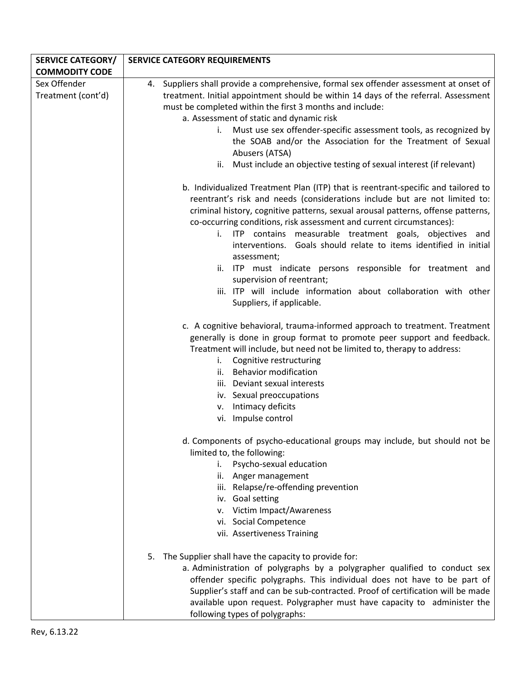| <b>SERVICE CATEGORY/</b> | <b>SERVICE CATEGORY REQUIREMENTS</b>                                                        |
|--------------------------|---------------------------------------------------------------------------------------------|
| <b>COMMODITY CODE</b>    |                                                                                             |
| Sex Offender             | 4. Suppliers shall provide a comprehensive, formal sex offender assessment at onset of      |
| Treatment (cont'd)       | treatment. Initial appointment should be within 14 days of the referral. Assessment         |
|                          | must be completed within the first 3 months and include:                                    |
|                          | a. Assessment of static and dynamic risk                                                    |
|                          | Must use sex offender-specific assessment tools, as recognized by<br>i.                     |
|                          | the SOAB and/or the Association for the Treatment of Sexual                                 |
|                          | Abusers (ATSA)                                                                              |
|                          | ii. Must include an objective testing of sexual interest (if relevant)                      |
|                          | b. Individualized Treatment Plan (ITP) that is reentrant-specific and tailored to           |
|                          | reentrant's risk and needs (considerations include but are not limited to:                  |
|                          | criminal history, cognitive patterns, sexual arousal patterns, offense patterns,            |
|                          | co-occurring conditions, risk assessment and current circumstances):                        |
|                          | i. ITP contains measurable treatment goals, objectives and                                  |
|                          | interventions. Goals should relate to items identified in initial                           |
|                          | assessment;                                                                                 |
|                          | ITP must indicate persons responsible for treatment and<br>ii.<br>supervision of reentrant; |
|                          | iii. ITP will include information about collaboration with other                            |
|                          | Suppliers, if applicable.                                                                   |
|                          |                                                                                             |
|                          | c. A cognitive behavioral, trauma-informed approach to treatment. Treatment                 |
|                          | generally is done in group format to promote peer support and feedback.                     |
|                          | Treatment will include, but need not be limited to, therapy to address:                     |
|                          | Cognitive restructuring<br>i.                                                               |
|                          | <b>Behavior modification</b><br>ii.                                                         |
|                          | iii. Deviant sexual interests                                                               |
|                          | iv. Sexual preoccupations                                                                   |
|                          | Intimacy deficits<br>v.                                                                     |
|                          | vi. Impulse control                                                                         |
|                          | d. Components of psycho-educational groups may include, but should not be                   |
|                          | limited to, the following:                                                                  |
|                          | Psycho-sexual education<br>i.                                                               |
|                          | ii. Anger management                                                                        |
|                          | iii. Relapse/re-offending prevention                                                        |
|                          | iv. Goal setting                                                                            |
|                          | v. Victim Impact/Awareness<br>vi. Social Competence                                         |
|                          | vii. Assertiveness Training                                                                 |
|                          |                                                                                             |
|                          | The Supplier shall have the capacity to provide for:<br>5.                                  |
|                          | a. Administration of polygraphs by a polygrapher qualified to conduct sex                   |
|                          | offender specific polygraphs. This individual does not have to be part of                   |
|                          | Supplier's staff and can be sub-contracted. Proof of certification will be made             |
|                          | available upon request. Polygrapher must have capacity to administer the                    |
|                          | following types of polygraphs:                                                              |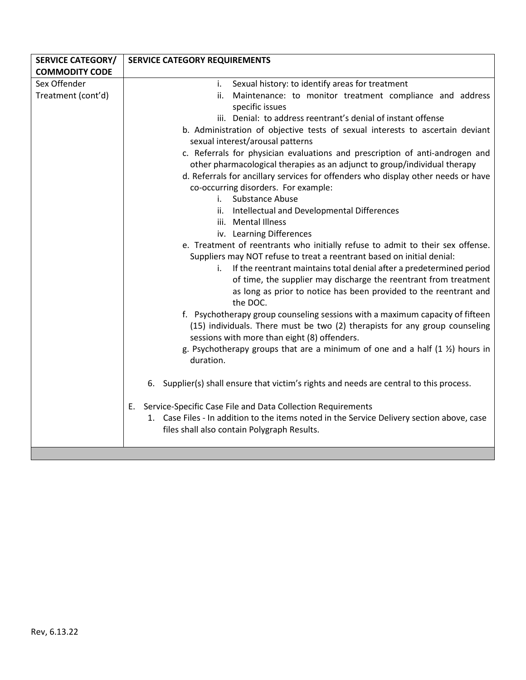| <b>SERVICE CATEGORY/</b> | <b>SERVICE CATEGORY REQUIREMENTS</b>                                                                                                                                                                         |
|--------------------------|--------------------------------------------------------------------------------------------------------------------------------------------------------------------------------------------------------------|
| <b>COMMODITY CODE</b>    |                                                                                                                                                                                                              |
| Sex Offender             | Sexual history: to identify areas for treatment<br>i.                                                                                                                                                        |
| Treatment (cont'd)       | Maintenance: to monitor treatment compliance and address<br>ii.<br>specific issues                                                                                                                           |
|                          | iii. Denial: to address reentrant's denial of instant offense                                                                                                                                                |
|                          | b. Administration of objective tests of sexual interests to ascertain deviant<br>sexual interest/arousal patterns                                                                                            |
|                          | c. Referrals for physician evaluations and prescription of anti-androgen and                                                                                                                                 |
|                          | other pharmacological therapies as an adjunct to group/individual therapy                                                                                                                                    |
|                          | d. Referrals for ancillary services for offenders who display other needs or have                                                                                                                            |
|                          | co-occurring disorders. For example:                                                                                                                                                                         |
|                          | i. Substance Abuse                                                                                                                                                                                           |
|                          | Intellectual and Developmental Differences<br>ii.                                                                                                                                                            |
|                          | iii. Mental Illness                                                                                                                                                                                          |
|                          | iv. Learning Differences                                                                                                                                                                                     |
|                          | e. Treatment of reentrants who initially refuse to admit to their sex offense.                                                                                                                               |
|                          | Suppliers may NOT refuse to treat a reentrant based on initial denial:                                                                                                                                       |
|                          | If the reentrant maintains total denial after a predetermined period<br>i.                                                                                                                                   |
|                          | of time, the supplier may discharge the reentrant from treatment                                                                                                                                             |
|                          | as long as prior to notice has been provided to the reentrant and<br>the DOC.                                                                                                                                |
|                          | f. Psychotherapy group counseling sessions with a maximum capacity of fifteen<br>(15) individuals. There must be two (2) therapists for any group counseling<br>sessions with more than eight (8) offenders. |
|                          | g. Psychotherapy groups that are a minimum of one and a half $(1 \frac{1}{2})$ hours in                                                                                                                      |
|                          | duration.                                                                                                                                                                                                    |
|                          | 6. Supplier(s) shall ensure that victim's rights and needs are central to this process.                                                                                                                      |
|                          | Service-Specific Case File and Data Collection Requirements<br>Е.                                                                                                                                            |
|                          | 1. Case Files - In addition to the items noted in the Service Delivery section above, case                                                                                                                   |
|                          | files shall also contain Polygraph Results.                                                                                                                                                                  |
|                          |                                                                                                                                                                                                              |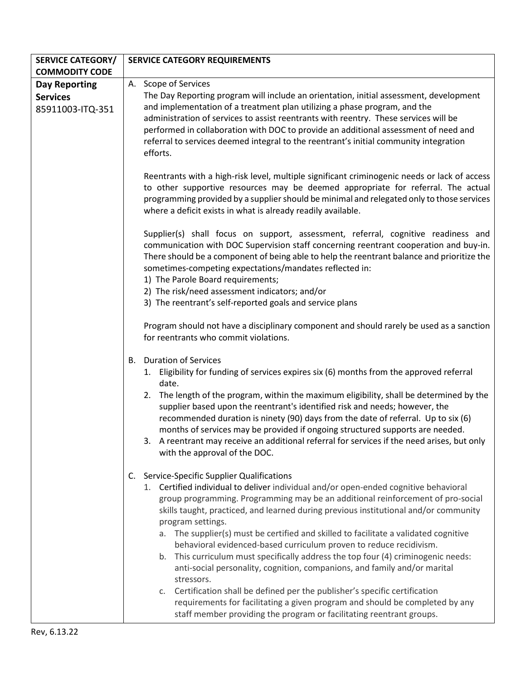| <b>SERVICE CATEGORY/</b>            | <b>SERVICE CATEGORY REQUIREMENTS</b>                                                                                                                                                                                                                                                                                                                                                                                                                                                                                                                                                                                                                                                                                                                                          |
|-------------------------------------|-------------------------------------------------------------------------------------------------------------------------------------------------------------------------------------------------------------------------------------------------------------------------------------------------------------------------------------------------------------------------------------------------------------------------------------------------------------------------------------------------------------------------------------------------------------------------------------------------------------------------------------------------------------------------------------------------------------------------------------------------------------------------------|
| <b>COMMODITY CODE</b>               |                                                                                                                                                                                                                                                                                                                                                                                                                                                                                                                                                                                                                                                                                                                                                                               |
| <b>Day Reporting</b>                | A. Scope of Services                                                                                                                                                                                                                                                                                                                                                                                                                                                                                                                                                                                                                                                                                                                                                          |
| <b>Services</b><br>85911003-ITQ-351 | The Day Reporting program will include an orientation, initial assessment, development<br>and implementation of a treatment plan utilizing a phase program, and the<br>administration of services to assist reentrants with reentry. These services will be<br>performed in collaboration with DOC to provide an additional assessment of need and<br>referral to services deemed integral to the reentrant's initial community integration<br>efforts.                                                                                                                                                                                                                                                                                                                       |
|                                     | Reentrants with a high-risk level, multiple significant criminogenic needs or lack of access<br>to other supportive resources may be deemed appropriate for referral. The actual<br>programming provided by a supplier should be minimal and relegated only to those services<br>where a deficit exists in what is already readily available.                                                                                                                                                                                                                                                                                                                                                                                                                                 |
|                                     | Supplier(s) shall focus on support, assessment, referral, cognitive readiness and<br>communication with DOC Supervision staff concerning reentrant cooperation and buy-in.<br>There should be a component of being able to help the reentrant balance and prioritize the<br>sometimes-competing expectations/mandates reflected in:<br>1) The Parole Board requirements;                                                                                                                                                                                                                                                                                                                                                                                                      |
|                                     | 2) The risk/need assessment indicators; and/or                                                                                                                                                                                                                                                                                                                                                                                                                                                                                                                                                                                                                                                                                                                                |
|                                     | 3) The reentrant's self-reported goals and service plans                                                                                                                                                                                                                                                                                                                                                                                                                                                                                                                                                                                                                                                                                                                      |
|                                     | Program should not have a disciplinary component and should rarely be used as a sanction<br>for reentrants who commit violations.                                                                                                                                                                                                                                                                                                                                                                                                                                                                                                                                                                                                                                             |
|                                     | <b>Duration of Services</b><br>В.<br>1. Eligibility for funding of services expires six (6) months from the approved referral<br>date.                                                                                                                                                                                                                                                                                                                                                                                                                                                                                                                                                                                                                                        |
|                                     | 2. The length of the program, within the maximum eligibility, shall be determined by the<br>supplier based upon the reentrant's identified risk and needs; however, the<br>recommended duration is ninety (90) days from the date of referral. Up to six (6)<br>months of services may be provided if ongoing structured supports are needed.<br>3. A reentrant may receive an additional referral for services if the need arises, but only<br>with the approval of the DOC.                                                                                                                                                                                                                                                                                                 |
|                                     | Service-Specific Supplier Qualifications<br>C.<br>1. Certified individual to deliver individual and/or open-ended cognitive behavioral<br>group programming. Programming may be an additional reinforcement of pro-social<br>skills taught, practiced, and learned during previous institutional and/or community<br>program settings.<br>The supplier(s) must be certified and skilled to facilitate a validated cognitive<br>а.<br>behavioral evidenced-based curriculum proven to reduce recidivism.<br>This curriculum must specifically address the top four (4) criminogenic needs:<br>b.<br>anti-social personality, cognition, companions, and family and/or marital<br>stressors.<br>Certification shall be defined per the publisher's specific certification<br>c. |
|                                     | requirements for facilitating a given program and should be completed by any<br>staff member providing the program or facilitating reentrant groups.                                                                                                                                                                                                                                                                                                                                                                                                                                                                                                                                                                                                                          |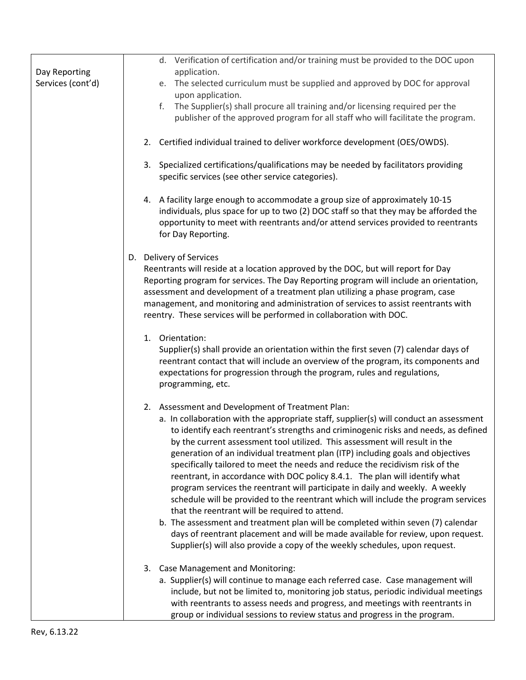|                                    |  | d. Verification of certification and/or training must be provided to the DOC upon                                                                                                                                                                                                                                                                                                                                                                                                                                                                                                                                                                                                                                                                                                                                                                                                                                                                                                                                                                   |
|------------------------------------|--|-----------------------------------------------------------------------------------------------------------------------------------------------------------------------------------------------------------------------------------------------------------------------------------------------------------------------------------------------------------------------------------------------------------------------------------------------------------------------------------------------------------------------------------------------------------------------------------------------------------------------------------------------------------------------------------------------------------------------------------------------------------------------------------------------------------------------------------------------------------------------------------------------------------------------------------------------------------------------------------------------------------------------------------------------------|
| Day Reporting<br>Services (cont'd) |  | application.<br>e. The selected curriculum must be supplied and approved by DOC for approval                                                                                                                                                                                                                                                                                                                                                                                                                                                                                                                                                                                                                                                                                                                                                                                                                                                                                                                                                        |
|                                    |  | upon application.                                                                                                                                                                                                                                                                                                                                                                                                                                                                                                                                                                                                                                                                                                                                                                                                                                                                                                                                                                                                                                   |
|                                    |  | f. The Supplier(s) shall procure all training and/or licensing required per the<br>publisher of the approved program for all staff who will facilitate the program.                                                                                                                                                                                                                                                                                                                                                                                                                                                                                                                                                                                                                                                                                                                                                                                                                                                                                 |
|                                    |  | 2. Certified individual trained to deliver workforce development (OES/OWDS).                                                                                                                                                                                                                                                                                                                                                                                                                                                                                                                                                                                                                                                                                                                                                                                                                                                                                                                                                                        |
|                                    |  | 3. Specialized certifications/qualifications may be needed by facilitators providing<br>specific services (see other service categories).                                                                                                                                                                                                                                                                                                                                                                                                                                                                                                                                                                                                                                                                                                                                                                                                                                                                                                           |
|                                    |  | 4. A facility large enough to accommodate a group size of approximately 10-15<br>individuals, plus space for up to two (2) DOC staff so that they may be afforded the<br>opportunity to meet with reentrants and/or attend services provided to reentrants<br>for Day Reporting.                                                                                                                                                                                                                                                                                                                                                                                                                                                                                                                                                                                                                                                                                                                                                                    |
|                                    |  | D. Delivery of Services<br>Reentrants will reside at a location approved by the DOC, but will report for Day<br>Reporting program for services. The Day Reporting program will include an orientation,<br>assessment and development of a treatment plan utilizing a phase program, case<br>management, and monitoring and administration of services to assist reentrants with<br>reentry. These services will be performed in collaboration with DOC.                                                                                                                                                                                                                                                                                                                                                                                                                                                                                                                                                                                             |
|                                    |  | 1. Orientation:<br>Supplier(s) shall provide an orientation within the first seven (7) calendar days of<br>reentrant contact that will include an overview of the program, its components and<br>expectations for progression through the program, rules and regulations,<br>programming, etc.                                                                                                                                                                                                                                                                                                                                                                                                                                                                                                                                                                                                                                                                                                                                                      |
|                                    |  | 2. Assessment and Development of Treatment Plan:<br>a. In collaboration with the appropriate staff, supplier(s) will conduct an assessment<br>to identify each reentrant's strengths and criminogenic risks and needs, as defined<br>by the current assessment tool utilized. This assessment will result in the<br>generation of an individual treatment plan (ITP) including goals and objectives<br>specifically tailored to meet the needs and reduce the recidivism risk of the<br>reentrant, in accordance with DOC policy 8.4.1. The plan will identify what<br>program services the reentrant will participate in daily and weekly. A weekly<br>schedule will be provided to the reentrant which will include the program services<br>that the reentrant will be required to attend.<br>b. The assessment and treatment plan will be completed within seven (7) calendar<br>days of reentrant placement and will be made available for review, upon request.<br>Supplier(s) will also provide a copy of the weekly schedules, upon request. |
|                                    |  | 3. Case Management and Monitoring:<br>a. Supplier(s) will continue to manage each referred case. Case management will<br>include, but not be limited to, monitoring job status, periodic individual meetings<br>with reentrants to assess needs and progress, and meetings with reentrants in<br>group or individual sessions to review status and progress in the program.                                                                                                                                                                                                                                                                                                                                                                                                                                                                                                                                                                                                                                                                         |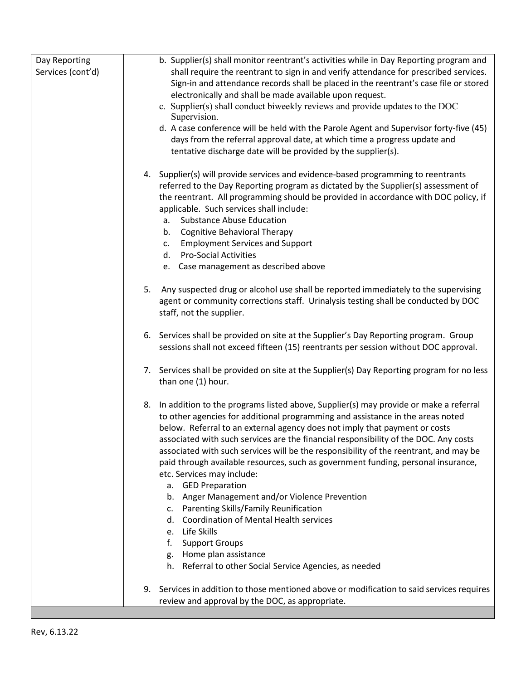| Day Reporting<br>Services (cont'd) | b. Supplier(s) shall monitor reentrant's activities while in Day Reporting program and<br>shall require the reentrant to sign in and verify attendance for prescribed services.<br>Sign-in and attendance records shall be placed in the reentrant's case file or stored<br>electronically and shall be made available upon request.<br>c. Supplier(s) shall conduct biweekly reviews and provide updates to the DOC<br>Supervision.<br>d. A case conference will be held with the Parole Agent and Supervisor forty-five (45)<br>days from the referral approval date, at which time a progress update and<br>tentative discharge date will be provided by the supplier(s).                                                                                                                                                                                                        |
|------------------------------------|-------------------------------------------------------------------------------------------------------------------------------------------------------------------------------------------------------------------------------------------------------------------------------------------------------------------------------------------------------------------------------------------------------------------------------------------------------------------------------------------------------------------------------------------------------------------------------------------------------------------------------------------------------------------------------------------------------------------------------------------------------------------------------------------------------------------------------------------------------------------------------------|
|                                    | 4. Supplier(s) will provide services and evidence-based programming to reentrants<br>referred to the Day Reporting program as dictated by the Supplier(s) assessment of<br>the reentrant. All programming should be provided in accordance with DOC policy, if<br>applicable. Such services shall include:<br><b>Substance Abuse Education</b><br>a.<br><b>Cognitive Behavioral Therapy</b><br>b.<br><b>Employment Services and Support</b><br>c.<br><b>Pro-Social Activities</b><br>d.<br>e. Case management as described above                                                                                                                                                                                                                                                                                                                                                    |
|                                    | 5. Any suspected drug or alcohol use shall be reported immediately to the supervising<br>agent or community corrections staff. Urinalysis testing shall be conducted by DOC<br>staff, not the supplier.                                                                                                                                                                                                                                                                                                                                                                                                                                                                                                                                                                                                                                                                             |
|                                    | 6. Services shall be provided on site at the Supplier's Day Reporting program. Group<br>sessions shall not exceed fifteen (15) reentrants per session without DOC approval.                                                                                                                                                                                                                                                                                                                                                                                                                                                                                                                                                                                                                                                                                                         |
|                                    | 7. Services shall be provided on site at the Supplier(s) Day Reporting program for no less<br>than one (1) hour.                                                                                                                                                                                                                                                                                                                                                                                                                                                                                                                                                                                                                                                                                                                                                                    |
|                                    | 8. In addition to the programs listed above, Supplier(s) may provide or make a referral<br>to other agencies for additional programming and assistance in the areas noted<br>below. Referral to an external agency does not imply that payment or costs<br>associated with such services are the financial responsibility of the DOC. Any costs<br>associated with such services will be the responsibility of the reentrant, and may be<br>paid through available resources, such as government funding, personal insurance,<br>etc. Services may include:<br>a. GED Preparation<br>Anger Management and/or Violence Prevention<br>b.<br>Parenting Skills/Family Reunification<br>C.<br><b>Coordination of Mental Health services</b><br>d.<br>e. Life Skills<br>f.<br><b>Support Groups</b><br>g. Home plan assistance<br>h. Referral to other Social Service Agencies, as needed |
|                                    | 9. Services in addition to those mentioned above or modification to said services requires<br>review and approval by the DOC, as appropriate.                                                                                                                                                                                                                                                                                                                                                                                                                                                                                                                                                                                                                                                                                                                                       |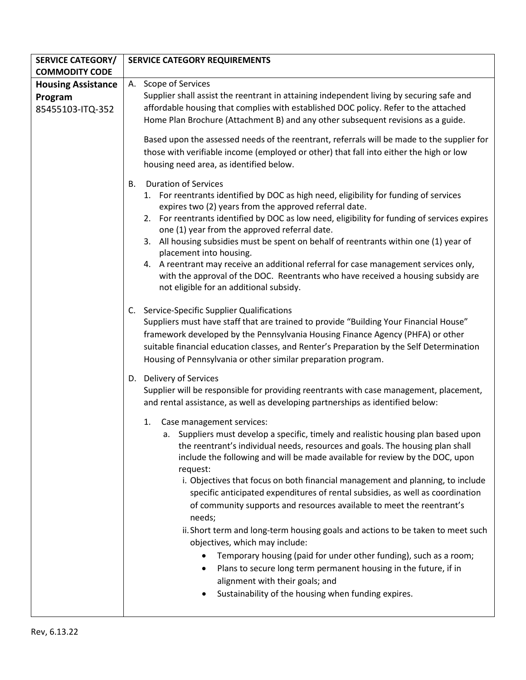| <b>SERVICE CATEGORY/</b>                                 | <b>SERVICE CATEGORY REQUIREMENTS</b>                                                                                                                                                                                                                                                                                                                                                                                                                                                                                                                                                                                                                                                                                                                                                                                                                                                                                                                                                                                                                                                                                     |
|----------------------------------------------------------|--------------------------------------------------------------------------------------------------------------------------------------------------------------------------------------------------------------------------------------------------------------------------------------------------------------------------------------------------------------------------------------------------------------------------------------------------------------------------------------------------------------------------------------------------------------------------------------------------------------------------------------------------------------------------------------------------------------------------------------------------------------------------------------------------------------------------------------------------------------------------------------------------------------------------------------------------------------------------------------------------------------------------------------------------------------------------------------------------------------------------|
| <b>COMMODITY CODE</b>                                    |                                                                                                                                                                                                                                                                                                                                                                                                                                                                                                                                                                                                                                                                                                                                                                                                                                                                                                                                                                                                                                                                                                                          |
| <b>Housing Assistance</b><br>Program<br>85455103-ITQ-352 | A. Scope of Services<br>Supplier shall assist the reentrant in attaining independent living by securing safe and<br>affordable housing that complies with established DOC policy. Refer to the attached<br>Home Plan Brochure (Attachment B) and any other subsequent revisions as a guide.                                                                                                                                                                                                                                                                                                                                                                                                                                                                                                                                                                                                                                                                                                                                                                                                                              |
|                                                          | Based upon the assessed needs of the reentrant, referrals will be made to the supplier for<br>those with verifiable income (employed or other) that fall into either the high or low<br>housing need area, as identified below.                                                                                                                                                                                                                                                                                                                                                                                                                                                                                                                                                                                                                                                                                                                                                                                                                                                                                          |
|                                                          | <b>Duration of Services</b><br>В.<br>1. For reentrants identified by DOC as high need, eligibility for funding of services<br>expires two (2) years from the approved referral date.<br>2. For reentrants identified by DOC as low need, eligibility for funding of services expires<br>one (1) year from the approved referral date.<br>3. All housing subsidies must be spent on behalf of reentrants within one (1) year of<br>placement into housing.<br>4. A reentrant may receive an additional referral for case management services only,<br>with the approval of the DOC. Reentrants who have received a housing subsidy are<br>not eligible for an additional subsidy.                                                                                                                                                                                                                                                                                                                                                                                                                                         |
|                                                          | C. Service-Specific Supplier Qualifications<br>Suppliers must have staff that are trained to provide "Building Your Financial House"<br>framework developed by the Pennsylvania Housing Finance Agency (PHFA) or other<br>suitable financial education classes, and Renter's Preparation by the Self Determination<br>Housing of Pennsylvania or other similar preparation program.                                                                                                                                                                                                                                                                                                                                                                                                                                                                                                                                                                                                                                                                                                                                      |
|                                                          | D. Delivery of Services<br>Supplier will be responsible for providing reentrants with case management, placement,<br>and rental assistance, as well as developing partnerships as identified below:<br>Case management services:<br>1.<br>a. Suppliers must develop a specific, timely and realistic housing plan based upon<br>the reentrant's individual needs, resources and goals. The housing plan shall<br>include the following and will be made available for review by the DOC, upon<br>request:<br>i. Objectives that focus on both financial management and planning, to include<br>specific anticipated expenditures of rental subsidies, as well as coordination<br>of community supports and resources available to meet the reentrant's<br>needs;<br>ii. Short term and long-term housing goals and actions to be taken to meet such<br>objectives, which may include:<br>Temporary housing (paid for under other funding), such as a room;<br>Plans to secure long term permanent housing in the future, if in<br>alignment with their goals; and<br>Sustainability of the housing when funding expires. |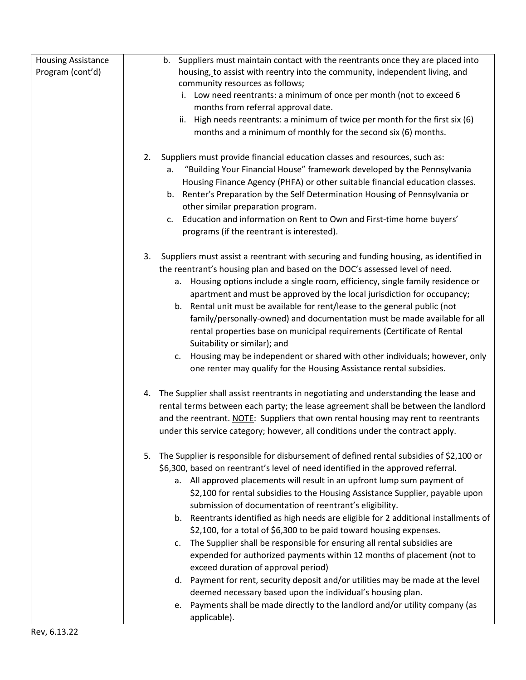| <b>Housing Assistance</b><br>Program (cont'd) | b. Suppliers must maintain contact with the reentrants once they are placed into<br>housing, to assist with reentry into the community, independent living, and<br>community resources as follows;<br>i. Low need reentrants: a minimum of once per month (not to exceed 6<br>months from referral approval date.<br>ii. High needs reentrants: a minimum of twice per month for the first six (6)<br>months and a minimum of monthly for the second six (6) months.                                                                                                                                                                                                                                                                                                                                                                 |
|-----------------------------------------------|--------------------------------------------------------------------------------------------------------------------------------------------------------------------------------------------------------------------------------------------------------------------------------------------------------------------------------------------------------------------------------------------------------------------------------------------------------------------------------------------------------------------------------------------------------------------------------------------------------------------------------------------------------------------------------------------------------------------------------------------------------------------------------------------------------------------------------------|
|                                               | Suppliers must provide financial education classes and resources, such as:<br>2.<br>"Building Your Financial House" framework developed by the Pennsylvania<br>a.<br>Housing Finance Agency (PHFA) or other suitable financial education classes.<br>Renter's Preparation by the Self Determination Housing of Pennsylvania or<br>b.<br>other similar preparation program.<br>Education and information on Rent to Own and First-time home buyers'<br>c.<br>programs (if the reentrant is interested).                                                                                                                                                                                                                                                                                                                               |
|                                               | 3.<br>Suppliers must assist a reentrant with securing and funding housing, as identified in<br>the reentrant's housing plan and based on the DOC's assessed level of need.<br>Housing options include a single room, efficiency, single family residence or<br>а.<br>apartment and must be approved by the local jurisdiction for occupancy;<br>b. Rental unit must be available for rent/lease to the general public (not<br>family/personally-owned) and documentation must be made available for all<br>rental properties base on municipal requirements (Certificate of Rental<br>Suitability or similar); and<br>Housing may be independent or shared with other individuals; however, only<br>c.<br>one renter may qualify for the Housing Assistance rental subsidies.                                                        |
|                                               | 4. The Supplier shall assist reentrants in negotiating and understanding the lease and<br>rental terms between each party; the lease agreement shall be between the landlord<br>and the reentrant. NOTE: Suppliers that own rental housing may rent to reentrants<br>under this service category; however, all conditions under the contract apply.<br>The Supplier is responsible for disbursement of defined rental subsidies of \$2,100 or<br>5.<br>\$6,300, based on reentrant's level of need identified in the approved referral.                                                                                                                                                                                                                                                                                              |
|                                               | a. All approved placements will result in an upfront lump sum payment of<br>\$2,100 for rental subsidies to the Housing Assistance Supplier, payable upon<br>submission of documentation of reentrant's eligibility.<br>b. Reentrants identified as high needs are eligible for 2 additional installments of<br>\$2,100, for a total of \$6,300 to be paid toward housing expenses.<br>c. The Supplier shall be responsible for ensuring all rental subsidies are<br>expended for authorized payments within 12 months of placement (not to<br>exceed duration of approval period)<br>d. Payment for rent, security deposit and/or utilities may be made at the level<br>deemed necessary based upon the individual's housing plan.<br>e. Payments shall be made directly to the landlord and/or utility company (as<br>applicable). |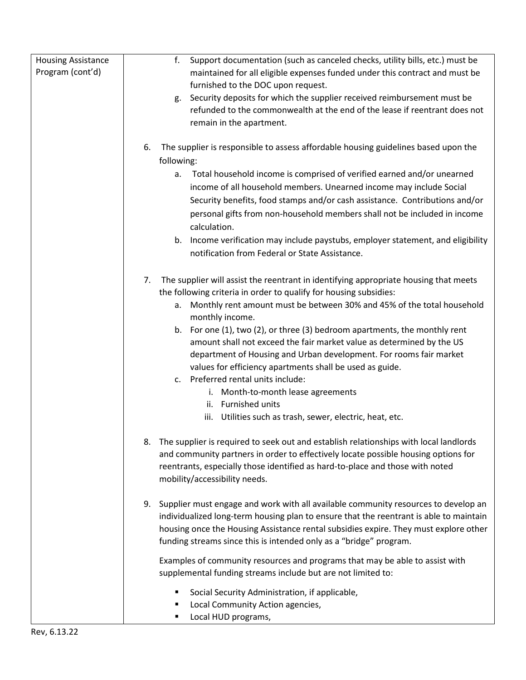| <b>Housing Assistance</b> | Support documentation (such as canceled checks, utility bills, etc.) must be<br>f.         |
|---------------------------|--------------------------------------------------------------------------------------------|
| Program (cont'd)          | maintained for all eligible expenses funded under this contract and must be                |
|                           | furnished to the DOC upon request.                                                         |
|                           | Security deposits for which the supplier received reimbursement must be<br>g.              |
|                           | refunded to the commonwealth at the end of the lease if reentrant does not                 |
|                           | remain in the apartment.                                                                   |
|                           |                                                                                            |
|                           | The supplier is responsible to assess affordable housing guidelines based upon the<br>6.   |
|                           | following:                                                                                 |
|                           | Total household income is comprised of verified earned and/or unearned<br>а.               |
|                           | income of all household members. Unearned income may include Social                        |
|                           | Security benefits, food stamps and/or cash assistance. Contributions and/or                |
|                           | personal gifts from non-household members shall not be included in income                  |
|                           | calculation.                                                                               |
|                           | b. Income verification may include paystubs, employer statement, and eligibility           |
|                           | notification from Federal or State Assistance.                                             |
|                           |                                                                                            |
|                           | The supplier will assist the reentrant in identifying appropriate housing that meets<br>7. |
|                           | the following criteria in order to qualify for housing subsidies:                          |
|                           | a. Monthly rent amount must be between 30% and 45% of the total household                  |
|                           | monthly income.                                                                            |
|                           | b. For one (1), two (2), or three (3) bedroom apartments, the monthly rent                 |
|                           | amount shall not exceed the fair market value as determined by the US                      |
|                           | department of Housing and Urban development. For rooms fair market                         |
|                           | values for efficiency apartments shall be used as guide.                                   |
|                           | c. Preferred rental units include:                                                         |
|                           | i. Month-to-month lease agreements                                                         |
|                           | ii. Furnished units                                                                        |
|                           | iii. Utilities such as trash, sewer, electric, heat, etc.                                  |
|                           |                                                                                            |
|                           | The supplier is required to seek out and establish relationships with local landlords      |
|                           | and community partners in order to effectively locate possible housing options for         |
|                           | reentrants, especially those identified as hard-to-place and those with noted              |
|                           | mobility/accessibility needs.                                                              |
|                           |                                                                                            |
|                           | Supplier must engage and work with all available community resources to develop an<br>9.   |
|                           | individualized long-term housing plan to ensure that the reentrant is able to maintain     |
|                           | housing once the Housing Assistance rental subsidies expire. They must explore other       |
|                           | funding streams since this is intended only as a "bridge" program.                         |
|                           | Examples of community resources and programs that may be able to assist with               |
|                           | supplemental funding streams include but are not limited to:                               |
|                           | Social Security Administration, if applicable,<br>П                                        |
|                           | Local Community Action agencies,                                                           |
|                           | Local HUD programs,<br>Е                                                                   |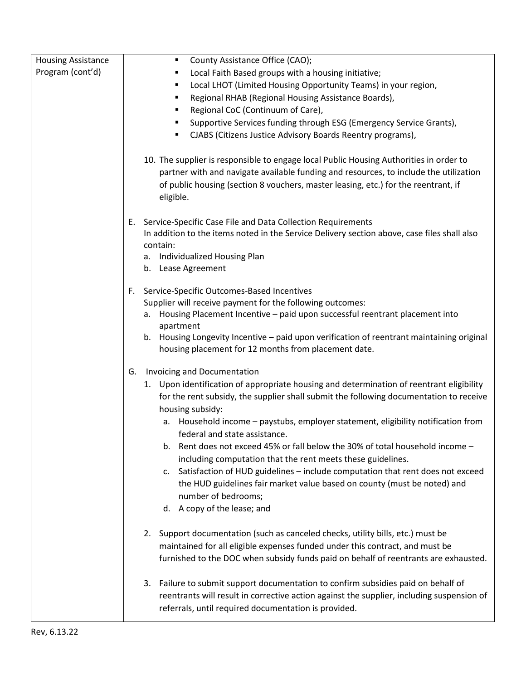| <b>Housing Assistance</b> | County Assistance Office (CAO);<br>٠                                                                                                                                                                                                                                               |
|---------------------------|------------------------------------------------------------------------------------------------------------------------------------------------------------------------------------------------------------------------------------------------------------------------------------|
| Program (cont'd)          | Local Faith Based groups with a housing initiative;                                                                                                                                                                                                                                |
|                           | Local LHOT (Limited Housing Opportunity Teams) in your region,<br>٠                                                                                                                                                                                                                |
|                           | Regional RHAB (Regional Housing Assistance Boards),<br>٠                                                                                                                                                                                                                           |
|                           | Regional CoC (Continuum of Care),<br>٠                                                                                                                                                                                                                                             |
|                           | Supportive Services funding through ESG (Emergency Service Grants),<br>٠                                                                                                                                                                                                           |
|                           | CJABS (Citizens Justice Advisory Boards Reentry programs),                                                                                                                                                                                                                         |
|                           | 10. The supplier is responsible to engage local Public Housing Authorities in order to<br>partner with and navigate available funding and resources, to include the utilization<br>of public housing (section 8 vouchers, master leasing, etc.) for the reentrant, if<br>eligible. |
|                           | Service-Specific Case File and Data Collection Requirements<br>Е.<br>In addition to the items noted in the Service Delivery section above, case files shall also<br>contain:<br>a. Individualized Housing Plan<br>b. Lease Agreement                                               |
|                           |                                                                                                                                                                                                                                                                                    |
|                           | Service-Specific Outcomes-Based Incentives<br>F.                                                                                                                                                                                                                                   |
|                           | Supplier will receive payment for the following outcomes:                                                                                                                                                                                                                          |
|                           | Housing Placement Incentive - paid upon successful reentrant placement into<br>а.                                                                                                                                                                                                  |
|                           | apartment<br>b. Housing Longevity Incentive - paid upon verification of reentrant maintaining original<br>housing placement for 12 months from placement date.                                                                                                                     |
|                           |                                                                                                                                                                                                                                                                                    |
|                           | Invoicing and Documentation<br>G.                                                                                                                                                                                                                                                  |
|                           | 1. Upon identification of appropriate housing and determination of reentrant eligibility<br>for the rent subsidy, the supplier shall submit the following documentation to receive<br>housing subsidy:                                                                             |
|                           | Household income - paystubs, employer statement, eligibility notification from<br>а.<br>federal and state assistance.                                                                                                                                                              |
|                           | b. Rent does not exceed 45% or fall below the 30% of total household income -                                                                                                                                                                                                      |
|                           | including computation that the rent meets these guidelines.                                                                                                                                                                                                                        |
|                           | c. Satisfaction of HUD guidelines - include computation that rent does not exceed<br>the HUD guidelines fair market value based on county (must be noted) and<br>number of bedrooms;                                                                                               |
|                           | d. A copy of the lease; and                                                                                                                                                                                                                                                        |
|                           |                                                                                                                                                                                                                                                                                    |
|                           | 2. Support documentation (such as canceled checks, utility bills, etc.) must be<br>maintained for all eligible expenses funded under this contract, and must be                                                                                                                    |
|                           | furnished to the DOC when subsidy funds paid on behalf of reentrants are exhausted.                                                                                                                                                                                                |
|                           | 3. Failure to submit support documentation to confirm subsidies paid on behalf of<br>reentrants will result in corrective action against the supplier, including suspension of<br>referrals, until required documentation is provided.                                             |
|                           |                                                                                                                                                                                                                                                                                    |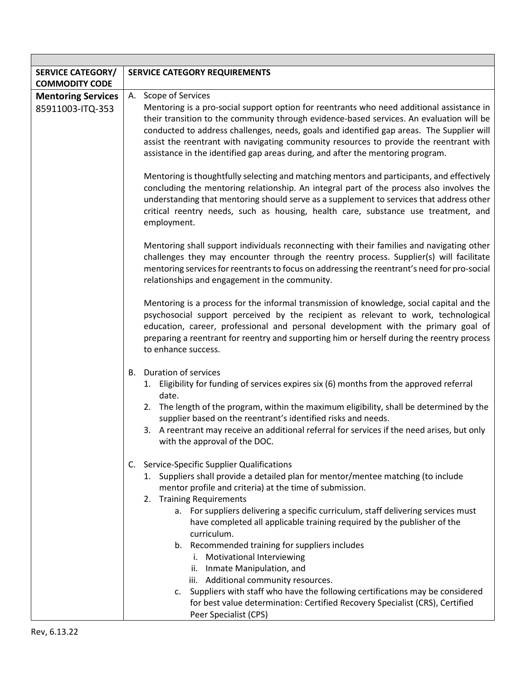| <b>SERVICE CATEGORY/</b>  | SERVICE CATEGORY REQUIREMENTS                                                                                                                                                                                                                                                                                                                                                                                                                                   |  |
|---------------------------|-----------------------------------------------------------------------------------------------------------------------------------------------------------------------------------------------------------------------------------------------------------------------------------------------------------------------------------------------------------------------------------------------------------------------------------------------------------------|--|
| <b>COMMODITY CODE</b>     |                                                                                                                                                                                                                                                                                                                                                                                                                                                                 |  |
| <b>Mentoring Services</b> | A. Scope of Services                                                                                                                                                                                                                                                                                                                                                                                                                                            |  |
| 85911003-ITQ-353          | Mentoring is a pro-social support option for reentrants who need additional assistance in<br>their transition to the community through evidence-based services. An evaluation will be<br>conducted to address challenges, needs, goals and identified gap areas. The Supplier will<br>assist the reentrant with navigating community resources to provide the reentrant with<br>assistance in the identified gap areas during, and after the mentoring program. |  |
|                           | Mentoring is thoughtfully selecting and matching mentors and participants, and effectively<br>concluding the mentoring relationship. An integral part of the process also involves the<br>understanding that mentoring should serve as a supplement to services that address other<br>critical reentry needs, such as housing, health care, substance use treatment, and<br>employment.                                                                         |  |
|                           | Mentoring shall support individuals reconnecting with their families and navigating other<br>challenges they may encounter through the reentry process. Supplier(s) will facilitate<br>mentoring services for reentrants to focus on addressing the reentrant's need for pro-social<br>relationships and engagement in the community.                                                                                                                           |  |
|                           | Mentoring is a process for the informal transmission of knowledge, social capital and the<br>psychosocial support perceived by the recipient as relevant to work, technological<br>education, career, professional and personal development with the primary goal of<br>preparing a reentrant for reentry and supporting him or herself during the reentry process<br>to enhance success.                                                                       |  |
|                           | <b>B.</b> Duration of services                                                                                                                                                                                                                                                                                                                                                                                                                                  |  |
|                           | 1. Eligibility for funding of services expires six (6) months from the approved referral<br>date.                                                                                                                                                                                                                                                                                                                                                               |  |
|                           | 2. The length of the program, within the maximum eligibility, shall be determined by the<br>supplier based on the reentrant's identified risks and needs.                                                                                                                                                                                                                                                                                                       |  |
|                           | 3. A reentrant may receive an additional referral for services if the need arises, but only<br>with the approval of the DOC.                                                                                                                                                                                                                                                                                                                                    |  |
|                           | C. Service-Specific Supplier Qualifications<br>1. Suppliers shall provide a detailed plan for mentor/mentee matching (to include<br>mentor profile and criteria) at the time of submission.<br>2. Training Requirements                                                                                                                                                                                                                                         |  |
|                           | a. For suppliers delivering a specific curriculum, staff delivering services must<br>have completed all applicable training required by the publisher of the<br>curriculum.                                                                                                                                                                                                                                                                                     |  |
|                           | b. Recommended training for suppliers includes                                                                                                                                                                                                                                                                                                                                                                                                                  |  |
|                           | i. Motivational Interviewing                                                                                                                                                                                                                                                                                                                                                                                                                                    |  |
|                           | ii. Inmate Manipulation, and                                                                                                                                                                                                                                                                                                                                                                                                                                    |  |
|                           | iii. Additional community resources.                                                                                                                                                                                                                                                                                                                                                                                                                            |  |
|                           | c. Suppliers with staff who have the following certifications may be considered                                                                                                                                                                                                                                                                                                                                                                                 |  |
|                           | for best value determination: Certified Recovery Specialist (CRS), Certified<br>Peer Specialist (CPS)                                                                                                                                                                                                                                                                                                                                                           |  |

Г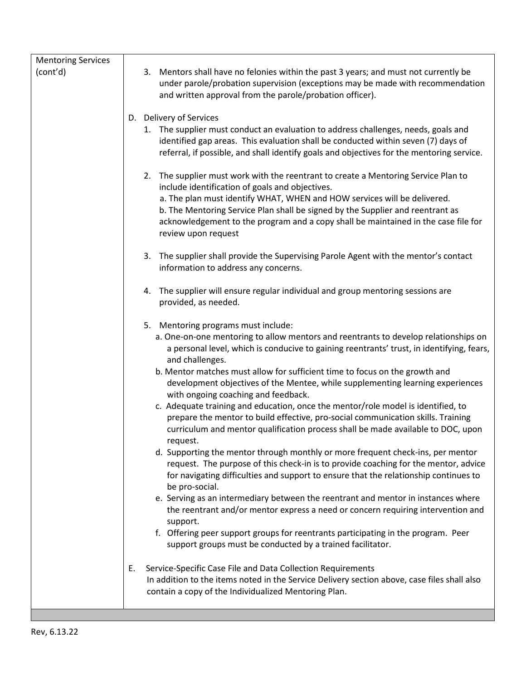| <b>Mentoring Services</b> |                                                                                                                                                                                                                                                                                                                                                                                                                  |
|---------------------------|------------------------------------------------------------------------------------------------------------------------------------------------------------------------------------------------------------------------------------------------------------------------------------------------------------------------------------------------------------------------------------------------------------------|
| (cont'd)                  | Mentors shall have no felonies within the past 3 years; and must not currently be<br>3.<br>under parole/probation supervision (exceptions may be made with recommendation<br>and written approval from the parole/probation officer).                                                                                                                                                                            |
|                           | D. Delivery of Services                                                                                                                                                                                                                                                                                                                                                                                          |
|                           | 1. The supplier must conduct an evaluation to address challenges, needs, goals and<br>identified gap areas. This evaluation shall be conducted within seven (7) days of<br>referral, if possible, and shall identify goals and objectives for the mentoring service.                                                                                                                                             |
|                           | 2. The supplier must work with the reentrant to create a Mentoring Service Plan to<br>include identification of goals and objectives.<br>a. The plan must identify WHAT, WHEN and HOW services will be delivered.<br>b. The Mentoring Service Plan shall be signed by the Supplier and reentrant as<br>acknowledgement to the program and a copy shall be maintained in the case file for<br>review upon request |
|                           | 3. The supplier shall provide the Supervising Parole Agent with the mentor's contact<br>information to address any concerns.                                                                                                                                                                                                                                                                                     |
|                           | 4. The supplier will ensure regular individual and group mentoring sessions are<br>provided, as needed.                                                                                                                                                                                                                                                                                                          |
|                           | 5. Mentoring programs must include:                                                                                                                                                                                                                                                                                                                                                                              |
|                           | a. One-on-one mentoring to allow mentors and reentrants to develop relationships on<br>a personal level, which is conducive to gaining reentrants' trust, in identifying, fears,<br>and challenges.                                                                                                                                                                                                              |
|                           | b. Mentor matches must allow for sufficient time to focus on the growth and<br>development objectives of the Mentee, while supplementing learning experiences<br>with ongoing coaching and feedback.                                                                                                                                                                                                             |
|                           | c. Adequate training and education, once the mentor/role model is identified, to<br>prepare the mentor to build effective, pro-social communication skills. Training<br>curriculum and mentor qualification process shall be made available to DOC, upon<br>request.                                                                                                                                             |
|                           | d. Supporting the mentor through monthly or more frequent check-ins, per mentor<br>request. The purpose of this check-in is to provide coaching for the mentor, advice<br>for navigating difficulties and support to ensure that the relationship continues to<br>be pro-social.                                                                                                                                 |
|                           | e. Serving as an intermediary between the reentrant and mentor in instances where<br>the reentrant and/or mentor express a need or concern requiring intervention and<br>support.                                                                                                                                                                                                                                |
|                           | f. Offering peer support groups for reentrants participating in the program. Peer<br>support groups must be conducted by a trained facilitator.                                                                                                                                                                                                                                                                  |
|                           | E.<br>Service-Specific Case File and Data Collection Requirements<br>In addition to the items noted in the Service Delivery section above, case files shall also<br>contain a copy of the Individualized Mentoring Plan.                                                                                                                                                                                         |
|                           |                                                                                                                                                                                                                                                                                                                                                                                                                  |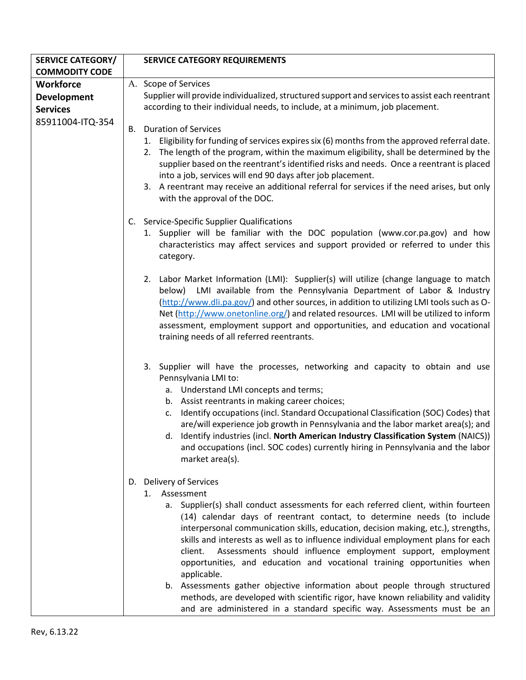| <b>SERVICE CATEGORY/</b> | <b>SERVICE CATEGORY REQUIREMENTS</b>                                                                                                                                                                                                                                                                                                                                                                                                                                                                                                                                             |
|--------------------------|----------------------------------------------------------------------------------------------------------------------------------------------------------------------------------------------------------------------------------------------------------------------------------------------------------------------------------------------------------------------------------------------------------------------------------------------------------------------------------------------------------------------------------------------------------------------------------|
| <b>COMMODITY CODE</b>    |                                                                                                                                                                                                                                                                                                                                                                                                                                                                                                                                                                                  |
| <b>Workforce</b>         | A. Scope of Services                                                                                                                                                                                                                                                                                                                                                                                                                                                                                                                                                             |
| <b>Development</b>       | Supplier will provide individualized, structured support and services to assist each reentrant                                                                                                                                                                                                                                                                                                                                                                                                                                                                                   |
| <b>Services</b>          | according to their individual needs, to include, at a minimum, job placement.                                                                                                                                                                                                                                                                                                                                                                                                                                                                                                    |
| 85911004-ITQ-354         |                                                                                                                                                                                                                                                                                                                                                                                                                                                                                                                                                                                  |
|                          | <b>Duration of Services</b><br>В.<br>1. Eligibility for funding of services expires six (6) months from the approved referral date.<br>2. The length of the program, within the maximum eligibility, shall be determined by the                                                                                                                                                                                                                                                                                                                                                  |
|                          | supplier based on the reentrant's identified risks and needs. Once a reentrant is placed<br>into a job, services will end 90 days after job placement.                                                                                                                                                                                                                                                                                                                                                                                                                           |
|                          | 3. A reentrant may receive an additional referral for services if the need arises, but only<br>with the approval of the DOC.                                                                                                                                                                                                                                                                                                                                                                                                                                                     |
|                          | C. Service-Specific Supplier Qualifications                                                                                                                                                                                                                                                                                                                                                                                                                                                                                                                                      |
|                          | 1. Supplier will be familiar with the DOC population (www.cor.pa.gov) and how<br>characteristics may affect services and support provided or referred to under this<br>category.                                                                                                                                                                                                                                                                                                                                                                                                 |
|                          | 2. Labor Market Information (LMI): Supplier(s) will utilize (change language to match<br>below) LMI available from the Pennsylvania Department of Labor & Industry<br>(http://www.dli.pa.gov/) and other sources, in addition to utilizing LMI tools such as O-<br>Net (http://www.onetonline.org/) and related resources. LMI will be utilized to inform<br>assessment, employment support and opportunities, and education and vocational<br>training needs of all referred reentrants.                                                                                        |
|                          | 3. Supplier will have the processes, networking and capacity to obtain and use<br>Pennsylvania LMI to:<br>a. Understand LMI concepts and terms;<br>b. Assist reentrants in making career choices;<br>Identify occupations (incl. Standard Occupational Classification (SOC) Codes) that<br>C.<br>are/will experience job growth in Pennsylvania and the labor market area(s); and<br>d. Identify industries (incl. North American Industry Classification System (NAICS))<br>and occupations (incl. SOC codes) currently hiring in Pennsylvania and the labor<br>market area(s). |
|                          | Delivery of Services<br>D.                                                                                                                                                                                                                                                                                                                                                                                                                                                                                                                                                       |
|                          | Assessment<br>1.                                                                                                                                                                                                                                                                                                                                                                                                                                                                                                                                                                 |
|                          | a. Supplier(s) shall conduct assessments for each referred client, within fourteen<br>(14) calendar days of reentrant contact, to determine needs (to include<br>interpersonal communication skills, education, decision making, etc.), strengths,<br>skills and interests as well as to influence individual employment plans for each                                                                                                                                                                                                                                          |
|                          | Assessments should influence employment support, employment<br>client.<br>opportunities, and education and vocational training opportunities when<br>applicable.                                                                                                                                                                                                                                                                                                                                                                                                                 |
|                          | b. Assessments gather objective information about people through structured<br>methods, are developed with scientific rigor, have known reliability and validity<br>and are administered in a standard specific way. Assessments must be an                                                                                                                                                                                                                                                                                                                                      |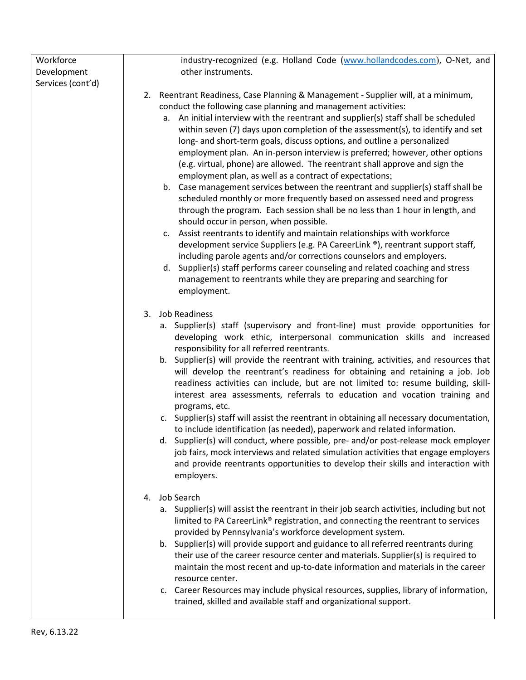| industry-recognized (e.g. Holland Code (www.hollandcodes.com), O-Net, and                                                                                                                                                                                                                                                                                                                                                                                                                                                                                                                                                                                                                                                                                                                                                                                                                                                                                                                                                                                                                                                                                                                                                                                                                                                       |
|---------------------------------------------------------------------------------------------------------------------------------------------------------------------------------------------------------------------------------------------------------------------------------------------------------------------------------------------------------------------------------------------------------------------------------------------------------------------------------------------------------------------------------------------------------------------------------------------------------------------------------------------------------------------------------------------------------------------------------------------------------------------------------------------------------------------------------------------------------------------------------------------------------------------------------------------------------------------------------------------------------------------------------------------------------------------------------------------------------------------------------------------------------------------------------------------------------------------------------------------------------------------------------------------------------------------------------|
| other instruments.                                                                                                                                                                                                                                                                                                                                                                                                                                                                                                                                                                                                                                                                                                                                                                                                                                                                                                                                                                                                                                                                                                                                                                                                                                                                                                              |
|                                                                                                                                                                                                                                                                                                                                                                                                                                                                                                                                                                                                                                                                                                                                                                                                                                                                                                                                                                                                                                                                                                                                                                                                                                                                                                                                 |
| 2. Reentrant Readiness, Case Planning & Management - Supplier will, at a minimum,<br>conduct the following case planning and management activities:<br>a. An initial interview with the reentrant and supplier(s) staff shall be scheduled<br>within seven (7) days upon completion of the assessment(s), to identify and set<br>long- and short-term goals, discuss options, and outline a personalized<br>employment plan. An in-person interview is preferred; however, other options<br>(e.g. virtual, phone) are allowed. The reentrant shall approve and sign the<br>employment plan, as well as a contract of expectations;<br>b. Case management services between the reentrant and supplier(s) staff shall be<br>scheduled monthly or more frequently based on assessed need and progress<br>through the program. Each session shall be no less than 1 hour in length, and<br>should occur in person, when possible.<br>c. Assist reentrants to identify and maintain relationships with workforce<br>development service Suppliers (e.g. PA CareerLink ®), reentrant support staff,<br>including parole agents and/or corrections counselors and employers.<br>d. Supplier(s) staff performs career counseling and related coaching and stress<br>management to reentrants while they are preparing and searching for |
| employment.                                                                                                                                                                                                                                                                                                                                                                                                                                                                                                                                                                                                                                                                                                                                                                                                                                                                                                                                                                                                                                                                                                                                                                                                                                                                                                                     |
| 3.<br><b>Job Readiness</b><br>a. Supplier(s) staff (supervisory and front-line) must provide opportunities for<br>developing work ethic, interpersonal communication skills and increased<br>responsibility for all referred reentrants.<br>b. Supplier(s) will provide the reentrant with training, activities, and resources that<br>will develop the reentrant's readiness for obtaining and retaining a job. Job<br>readiness activities can include, but are not limited to: resume building, skill-<br>interest area assessments, referrals to education and vocation training and<br>programs, etc.<br>c. Supplier(s) staff will assist the reentrant in obtaining all necessary documentation,<br>to include identification (as needed), paperwork and related information.<br>d. Supplier(s) will conduct, where possible, pre- and/or post-release mock employer<br>job fairs, mock interviews and related simulation activities that engage employers<br>and provide reentrants opportunities to develop their skills and interaction with<br>employers.                                                                                                                                                                                                                                                             |
| Job Search<br>4.<br>a. Supplier(s) will assist the reentrant in their job search activities, including but not<br>limited to PA CareerLink® registration, and connecting the reentrant to services<br>provided by Pennsylvania's workforce development system.<br>b. Supplier(s) will provide support and guidance to all referred reentrants during<br>their use of the career resource center and materials. Supplier(s) is required to<br>maintain the most recent and up-to-date information and materials in the career<br>resource center.<br>c. Career Resources may include physical resources, supplies, library of information,<br>trained, skilled and available staff and organizational support.                                                                                                                                                                                                                                                                                                                                                                                                                                                                                                                                                                                                                   |
|                                                                                                                                                                                                                                                                                                                                                                                                                                                                                                                                                                                                                                                                                                                                                                                                                                                                                                                                                                                                                                                                                                                                                                                                                                                                                                                                 |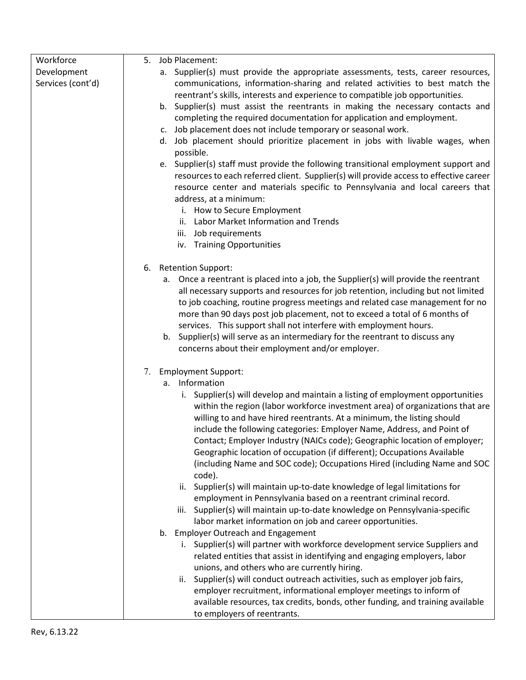| Workforce                        | Job Placement:<br>5.                                                                                                                                                                                                                                                                                                                                                                                                                                                                                                                                              |
|----------------------------------|-------------------------------------------------------------------------------------------------------------------------------------------------------------------------------------------------------------------------------------------------------------------------------------------------------------------------------------------------------------------------------------------------------------------------------------------------------------------------------------------------------------------------------------------------------------------|
| Development<br>Services (cont'd) | a. Supplier(s) must provide the appropriate assessments, tests, career resources,<br>communications, information-sharing and related activities to best match the<br>reentrant's skills, interests and experience to compatible job opportunities.<br>b. Supplier(s) must assist the reentrants in making the necessary contacts and<br>completing the required documentation for application and employment.<br>c. Job placement does not include temporary or seasonal work.                                                                                    |
|                                  | d. Job placement should prioritize placement in jobs with livable wages, when<br>possible.                                                                                                                                                                                                                                                                                                                                                                                                                                                                        |
|                                  | e. Supplier(s) staff must provide the following transitional employment support and<br>resources to each referred client. Supplier(s) will provide access to effective career<br>resource center and materials specific to Pennsylvania and local careers that<br>address, at a minimum:<br>i. How to Secure Employment<br>ii. Labor Market Information and Trends<br>iii. Job requirements<br>iv. Training Opportunities                                                                                                                                         |
|                                  | <b>Retention Support:</b><br>6.                                                                                                                                                                                                                                                                                                                                                                                                                                                                                                                                   |
|                                  | a. Once a reentrant is placed into a job, the Supplier(s) will provide the reentrant<br>all necessary supports and resources for job retention, including but not limited<br>to job coaching, routine progress meetings and related case management for no<br>more than 90 days post job placement, not to exceed a total of 6 months of<br>services. This support shall not interfere with employment hours.<br>b. Supplier(s) will serve as an intermediary for the reentrant to discuss any<br>concerns about their employment and/or employer.                |
|                                  | <b>Employment Support:</b><br>7.                                                                                                                                                                                                                                                                                                                                                                                                                                                                                                                                  |
|                                  | a. Information                                                                                                                                                                                                                                                                                                                                                                                                                                                                                                                                                    |
|                                  | i. Supplier(s) will develop and maintain a listing of employment opportunities<br>within the region (labor workforce investment area) of organizations that are<br>willing to and have hired reentrants. At a minimum, the listing should<br>include the following categories: Employer Name, Address, and Point of<br>Contact; Employer Industry (NAICs code); Geographic location of employer;<br>Geographic location of occupation (if different); Occupations Available<br>(including Name and SOC code); Occupations Hired (including Name and SOC<br>code). |
|                                  | ii. Supplier(s) will maintain up-to-date knowledge of legal limitations for                                                                                                                                                                                                                                                                                                                                                                                                                                                                                       |
|                                  | employment in Pennsylvania based on a reentrant criminal record.<br>iii. Supplier(s) will maintain up-to-date knowledge on Pennsylvania-specific                                                                                                                                                                                                                                                                                                                                                                                                                  |
|                                  | labor market information on job and career opportunities.                                                                                                                                                                                                                                                                                                                                                                                                                                                                                                         |
|                                  | b. Employer Outreach and Engagement                                                                                                                                                                                                                                                                                                                                                                                                                                                                                                                               |
|                                  | i. Supplier(s) will partner with workforce development service Suppliers and<br>related entities that assist in identifying and engaging employers, labor<br>unions, and others who are currently hiring.                                                                                                                                                                                                                                                                                                                                                         |
|                                  | Supplier(s) will conduct outreach activities, such as employer job fairs,<br>ii.<br>employer recruitment, informational employer meetings to inform of<br>available resources, tax credits, bonds, other funding, and training available<br>to employers of reentrants.                                                                                                                                                                                                                                                                                           |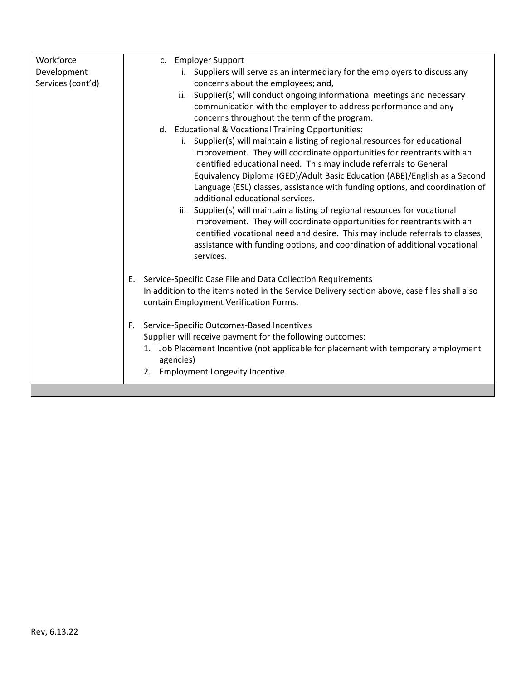| Workforce         | c. Employer Support                                                                         |
|-------------------|---------------------------------------------------------------------------------------------|
| Development       | i. Suppliers will serve as an intermediary for the employers to discuss any                 |
| Services (cont'd) | concerns about the employees; and,                                                          |
|                   | ii. Supplier(s) will conduct ongoing informational meetings and necessary                   |
|                   | communication with the employer to address performance and any                              |
|                   | concerns throughout the term of the program.                                                |
|                   | d. Educational & Vocational Training Opportunities:                                         |
|                   | i. Supplier(s) will maintain a listing of regional resources for educational                |
|                   | improvement. They will coordinate opportunities for reentrants with an                      |
|                   | identified educational need. This may include referrals to General                          |
|                   | Equivalency Diploma (GED)/Adult Basic Education (ABE)/English as a Second                   |
|                   | Language (ESL) classes, assistance with funding options, and coordination of                |
|                   | additional educational services.                                                            |
|                   | ii. Supplier(s) will maintain a listing of regional resources for vocational                |
|                   | improvement. They will coordinate opportunities for reentrants with an                      |
|                   | identified vocational need and desire. This may include referrals to classes,               |
|                   | assistance with funding options, and coordination of additional vocational                  |
|                   | services.                                                                                   |
|                   |                                                                                             |
|                   | Service-Specific Case File and Data Collection Requirements<br>Е.                           |
|                   | In addition to the items noted in the Service Delivery section above, case files shall also |
|                   | contain Employment Verification Forms.                                                      |
|                   |                                                                                             |
|                   | Service-Specific Outcomes-Based Incentives<br>F.                                            |
|                   | Supplier will receive payment for the following outcomes:                                   |
|                   | Job Placement Incentive (not applicable for placement with temporary employment<br>1.       |
|                   | agencies)                                                                                   |
|                   | <b>Employment Longevity Incentive</b><br>2.                                                 |
|                   |                                                                                             |
|                   |                                                                                             |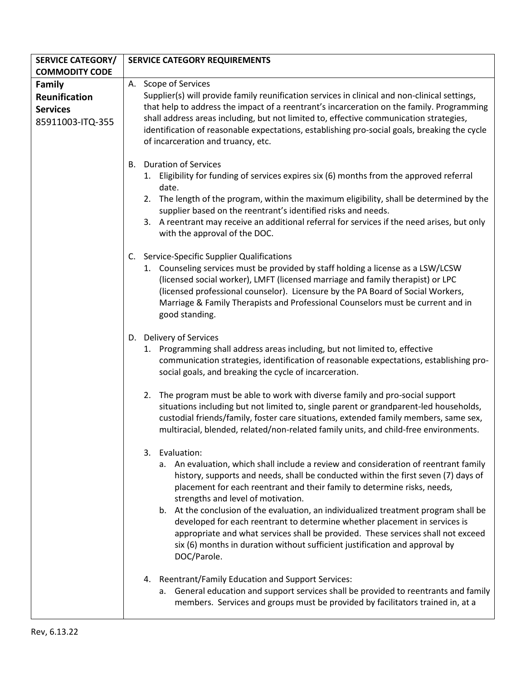| <b>SERVICE CATEGORY/</b> | <b>SERVICE CATEGORY REQUIREMENTS</b>                                                                                                                           |
|--------------------------|----------------------------------------------------------------------------------------------------------------------------------------------------------------|
| <b>COMMODITY CODE</b>    |                                                                                                                                                                |
| <b>Family</b>            | A. Scope of Services                                                                                                                                           |
| Reunification            | Supplier(s) will provide family reunification services in clinical and non-clinical settings,                                                                  |
| <b>Services</b>          | that help to address the impact of a reentrant's incarceration on the family. Programming                                                                      |
| 85911003-ITQ-355         | shall address areas including, but not limited to, effective communication strategies,                                                                         |
|                          | identification of reasonable expectations, establishing pro-social goals, breaking the cycle                                                                   |
|                          | of incarceration and truancy, etc.                                                                                                                             |
|                          |                                                                                                                                                                |
|                          | <b>Duration of Services</b><br>B.                                                                                                                              |
|                          | Eligibility for funding of services expires six (6) months from the approved referral<br>1.                                                                    |
|                          | date.                                                                                                                                                          |
|                          | The length of the program, within the maximum eligibility, shall be determined by the<br>2.                                                                    |
|                          | supplier based on the reentrant's identified risks and needs.                                                                                                  |
|                          | 3. A reentrant may receive an additional referral for services if the need arises, but only                                                                    |
|                          | with the approval of the DOC.                                                                                                                                  |
|                          | Service-Specific Supplier Qualifications<br>C.                                                                                                                 |
|                          | 1. Counseling services must be provided by staff holding a license as a LSW/LCSW                                                                               |
|                          | (licensed social worker), LMFT (licensed marriage and family therapist) or LPC                                                                                 |
|                          | (licensed professional counselor). Licensure by the PA Board of Social Workers,                                                                                |
|                          | Marriage & Family Therapists and Professional Counselors must be current and in                                                                                |
|                          | good standing.                                                                                                                                                 |
|                          |                                                                                                                                                                |
|                          | D. Delivery of Services                                                                                                                                        |
|                          | 1. Programming shall address areas including, but not limited to, effective                                                                                    |
|                          | communication strategies, identification of reasonable expectations, establishing pro-                                                                         |
|                          | social goals, and breaking the cycle of incarceration.                                                                                                         |
|                          | The program must be able to work with diverse family and pro-social support<br>2.                                                                              |
|                          | situations including but not limited to, single parent or grandparent-led households,                                                                          |
|                          | custodial friends/family, foster care situations, extended family members, same sex,                                                                           |
|                          | multiracial, blended, related/non-related family units, and child-free environments.                                                                           |
|                          |                                                                                                                                                                |
|                          | Evaluation:<br>3.                                                                                                                                              |
|                          | a. An evaluation, which shall include a review and consideration of reentrant family                                                                           |
|                          | history, supports and needs, shall be conducted within the first seven (7) days of                                                                             |
|                          | placement for each reentrant and their family to determine risks, needs,                                                                                       |
|                          | strengths and level of motivation.                                                                                                                             |
|                          | b. At the conclusion of the evaluation, an individualized treatment program shall be                                                                           |
|                          | developed for each reentrant to determine whether placement in services is<br>appropriate and what services shall be provided. These services shall not exceed |
|                          | six (6) months in duration without sufficient justification and approval by                                                                                    |
|                          | DOC/Parole.                                                                                                                                                    |
|                          |                                                                                                                                                                |
|                          | 4. Reentrant/Family Education and Support Services:                                                                                                            |
|                          | a. General education and support services shall be provided to reentrants and family                                                                           |
|                          | members. Services and groups must be provided by facilitators trained in, at a                                                                                 |
|                          |                                                                                                                                                                |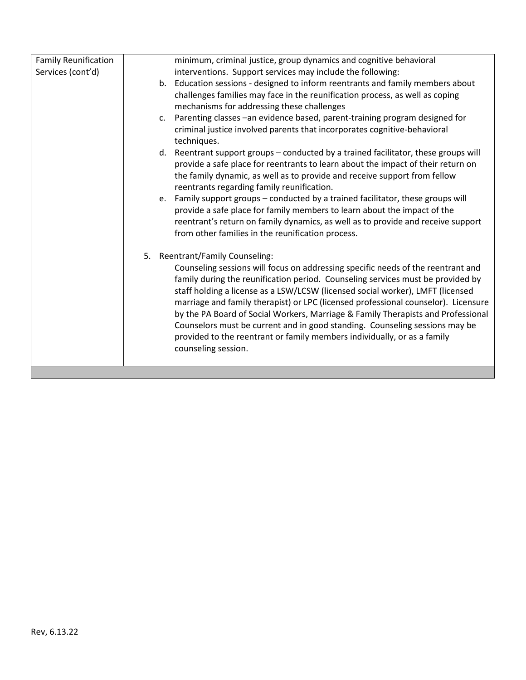| minimum, criminal justice, group dynamics and cognitive behavioral<br><b>Family Reunification</b><br>Services (cont'd)<br>interventions. Support services may include the following:<br>b. Education sessions - designed to inform reentrants and family members about<br>challenges families may face in the reunification process, as well as coping<br>mechanisms for addressing these challenges<br>c. Parenting classes - an evidence based, parent-training program designed for<br>criminal justice involved parents that incorporates cognitive-behavioral<br>techniques.<br>d. Reentrant support groups - conducted by a trained facilitator, these groups will<br>provide a safe place for reentrants to learn about the impact of their return on<br>the family dynamic, as well as to provide and receive support from fellow<br>reentrants regarding family reunification.<br>e. Family support groups - conducted by a trained facilitator, these groups will<br>provide a safe place for family members to learn about the impact of the<br>reentrant's return on family dynamics, as well as to provide and receive support<br>from other families in the reunification process.<br>Reentrant/Family Counseling:<br>5.<br>Counseling sessions will focus on addressing specific needs of the reentrant and<br>family during the reunification period. Counseling services must be provided by<br>staff holding a license as a LSW/LCSW (licensed social worker), LMFT (licensed<br>marriage and family therapist) or LPC (licensed professional counselor). Licensure<br>by the PA Board of Social Workers, Marriage & Family Therapists and Professional<br>Counselors must be current and in good standing. Counseling sessions may be<br>provided to the reentrant or family members individually, or as a family<br>counseling session. |  |  |
|-------------------------------------------------------------------------------------------------------------------------------------------------------------------------------------------------------------------------------------------------------------------------------------------------------------------------------------------------------------------------------------------------------------------------------------------------------------------------------------------------------------------------------------------------------------------------------------------------------------------------------------------------------------------------------------------------------------------------------------------------------------------------------------------------------------------------------------------------------------------------------------------------------------------------------------------------------------------------------------------------------------------------------------------------------------------------------------------------------------------------------------------------------------------------------------------------------------------------------------------------------------------------------------------------------------------------------------------------------------------------------------------------------------------------------------------------------------------------------------------------------------------------------------------------------------------------------------------------------------------------------------------------------------------------------------------------------------------------------------------------------------------------------------------------------------------------------------------------------------|--|--|
|                                                                                                                                                                                                                                                                                                                                                                                                                                                                                                                                                                                                                                                                                                                                                                                                                                                                                                                                                                                                                                                                                                                                                                                                                                                                                                                                                                                                                                                                                                                                                                                                                                                                                                                                                                                                                                                             |  |  |
|                                                                                                                                                                                                                                                                                                                                                                                                                                                                                                                                                                                                                                                                                                                                                                                                                                                                                                                                                                                                                                                                                                                                                                                                                                                                                                                                                                                                                                                                                                                                                                                                                                                                                                                                                                                                                                                             |  |  |
|                                                                                                                                                                                                                                                                                                                                                                                                                                                                                                                                                                                                                                                                                                                                                                                                                                                                                                                                                                                                                                                                                                                                                                                                                                                                                                                                                                                                                                                                                                                                                                                                                                                                                                                                                                                                                                                             |  |  |
|                                                                                                                                                                                                                                                                                                                                                                                                                                                                                                                                                                                                                                                                                                                                                                                                                                                                                                                                                                                                                                                                                                                                                                                                                                                                                                                                                                                                                                                                                                                                                                                                                                                                                                                                                                                                                                                             |  |  |
|                                                                                                                                                                                                                                                                                                                                                                                                                                                                                                                                                                                                                                                                                                                                                                                                                                                                                                                                                                                                                                                                                                                                                                                                                                                                                                                                                                                                                                                                                                                                                                                                                                                                                                                                                                                                                                                             |  |  |
|                                                                                                                                                                                                                                                                                                                                                                                                                                                                                                                                                                                                                                                                                                                                                                                                                                                                                                                                                                                                                                                                                                                                                                                                                                                                                                                                                                                                                                                                                                                                                                                                                                                                                                                                                                                                                                                             |  |  |
|                                                                                                                                                                                                                                                                                                                                                                                                                                                                                                                                                                                                                                                                                                                                                                                                                                                                                                                                                                                                                                                                                                                                                                                                                                                                                                                                                                                                                                                                                                                                                                                                                                                                                                                                                                                                                                                             |  |  |
|                                                                                                                                                                                                                                                                                                                                                                                                                                                                                                                                                                                                                                                                                                                                                                                                                                                                                                                                                                                                                                                                                                                                                                                                                                                                                                                                                                                                                                                                                                                                                                                                                                                                                                                                                                                                                                                             |  |  |
|                                                                                                                                                                                                                                                                                                                                                                                                                                                                                                                                                                                                                                                                                                                                                                                                                                                                                                                                                                                                                                                                                                                                                                                                                                                                                                                                                                                                                                                                                                                                                                                                                                                                                                                                                                                                                                                             |  |  |
|                                                                                                                                                                                                                                                                                                                                                                                                                                                                                                                                                                                                                                                                                                                                                                                                                                                                                                                                                                                                                                                                                                                                                                                                                                                                                                                                                                                                                                                                                                                                                                                                                                                                                                                                                                                                                                                             |  |  |
|                                                                                                                                                                                                                                                                                                                                                                                                                                                                                                                                                                                                                                                                                                                                                                                                                                                                                                                                                                                                                                                                                                                                                                                                                                                                                                                                                                                                                                                                                                                                                                                                                                                                                                                                                                                                                                                             |  |  |
|                                                                                                                                                                                                                                                                                                                                                                                                                                                                                                                                                                                                                                                                                                                                                                                                                                                                                                                                                                                                                                                                                                                                                                                                                                                                                                                                                                                                                                                                                                                                                                                                                                                                                                                                                                                                                                                             |  |  |
|                                                                                                                                                                                                                                                                                                                                                                                                                                                                                                                                                                                                                                                                                                                                                                                                                                                                                                                                                                                                                                                                                                                                                                                                                                                                                                                                                                                                                                                                                                                                                                                                                                                                                                                                                                                                                                                             |  |  |
|                                                                                                                                                                                                                                                                                                                                                                                                                                                                                                                                                                                                                                                                                                                                                                                                                                                                                                                                                                                                                                                                                                                                                                                                                                                                                                                                                                                                                                                                                                                                                                                                                                                                                                                                                                                                                                                             |  |  |
|                                                                                                                                                                                                                                                                                                                                                                                                                                                                                                                                                                                                                                                                                                                                                                                                                                                                                                                                                                                                                                                                                                                                                                                                                                                                                                                                                                                                                                                                                                                                                                                                                                                                                                                                                                                                                                                             |  |  |
|                                                                                                                                                                                                                                                                                                                                                                                                                                                                                                                                                                                                                                                                                                                                                                                                                                                                                                                                                                                                                                                                                                                                                                                                                                                                                                                                                                                                                                                                                                                                                                                                                                                                                                                                                                                                                                                             |  |  |
|                                                                                                                                                                                                                                                                                                                                                                                                                                                                                                                                                                                                                                                                                                                                                                                                                                                                                                                                                                                                                                                                                                                                                                                                                                                                                                                                                                                                                                                                                                                                                                                                                                                                                                                                                                                                                                                             |  |  |
|                                                                                                                                                                                                                                                                                                                                                                                                                                                                                                                                                                                                                                                                                                                                                                                                                                                                                                                                                                                                                                                                                                                                                                                                                                                                                                                                                                                                                                                                                                                                                                                                                                                                                                                                                                                                                                                             |  |  |
|                                                                                                                                                                                                                                                                                                                                                                                                                                                                                                                                                                                                                                                                                                                                                                                                                                                                                                                                                                                                                                                                                                                                                                                                                                                                                                                                                                                                                                                                                                                                                                                                                                                                                                                                                                                                                                                             |  |  |
|                                                                                                                                                                                                                                                                                                                                                                                                                                                                                                                                                                                                                                                                                                                                                                                                                                                                                                                                                                                                                                                                                                                                                                                                                                                                                                                                                                                                                                                                                                                                                                                                                                                                                                                                                                                                                                                             |  |  |
|                                                                                                                                                                                                                                                                                                                                                                                                                                                                                                                                                                                                                                                                                                                                                                                                                                                                                                                                                                                                                                                                                                                                                                                                                                                                                                                                                                                                                                                                                                                                                                                                                                                                                                                                                                                                                                                             |  |  |
|                                                                                                                                                                                                                                                                                                                                                                                                                                                                                                                                                                                                                                                                                                                                                                                                                                                                                                                                                                                                                                                                                                                                                                                                                                                                                                                                                                                                                                                                                                                                                                                                                                                                                                                                                                                                                                                             |  |  |
|                                                                                                                                                                                                                                                                                                                                                                                                                                                                                                                                                                                                                                                                                                                                                                                                                                                                                                                                                                                                                                                                                                                                                                                                                                                                                                                                                                                                                                                                                                                                                                                                                                                                                                                                                                                                                                                             |  |  |
|                                                                                                                                                                                                                                                                                                                                                                                                                                                                                                                                                                                                                                                                                                                                                                                                                                                                                                                                                                                                                                                                                                                                                                                                                                                                                                                                                                                                                                                                                                                                                                                                                                                                                                                                                                                                                                                             |  |  |
|                                                                                                                                                                                                                                                                                                                                                                                                                                                                                                                                                                                                                                                                                                                                                                                                                                                                                                                                                                                                                                                                                                                                                                                                                                                                                                                                                                                                                                                                                                                                                                                                                                                                                                                                                                                                                                                             |  |  |
|                                                                                                                                                                                                                                                                                                                                                                                                                                                                                                                                                                                                                                                                                                                                                                                                                                                                                                                                                                                                                                                                                                                                                                                                                                                                                                                                                                                                                                                                                                                                                                                                                                                                                                                                                                                                                                                             |  |  |
|                                                                                                                                                                                                                                                                                                                                                                                                                                                                                                                                                                                                                                                                                                                                                                                                                                                                                                                                                                                                                                                                                                                                                                                                                                                                                                                                                                                                                                                                                                                                                                                                                                                                                                                                                                                                                                                             |  |  |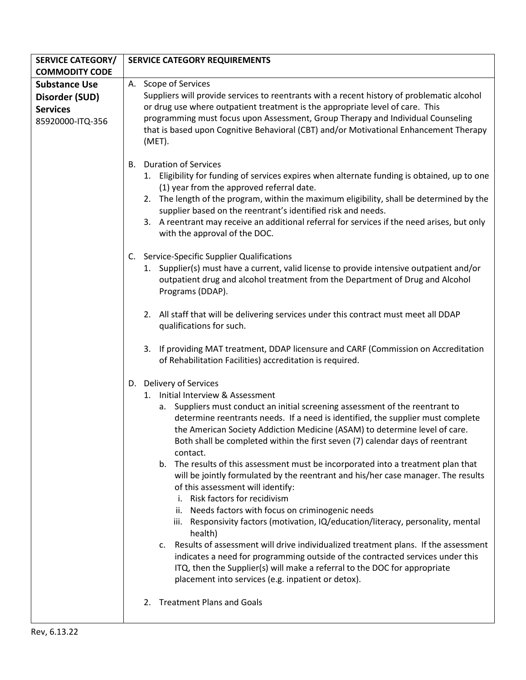| <b>SERVICE CATEGORY/</b> | <b>SERVICE CATEGORY REQUIREMENTS</b>                                                                                                                                      |
|--------------------------|---------------------------------------------------------------------------------------------------------------------------------------------------------------------------|
| <b>COMMODITY CODE</b>    |                                                                                                                                                                           |
| <b>Substance Use</b>     | A. Scope of Services                                                                                                                                                      |
| Disorder (SUD)           | Suppliers will provide services to reentrants with a recent history of problematic alcohol                                                                                |
| <b>Services</b>          | or drug use where outpatient treatment is the appropriate level of care. This                                                                                             |
| 85920000-ITQ-356         | programming must focus upon Assessment, Group Therapy and Individual Counseling                                                                                           |
|                          | that is based upon Cognitive Behavioral (CBT) and/or Motivational Enhancement Therapy                                                                                     |
|                          | (MET).                                                                                                                                                                    |
|                          | <b>Duration of Services</b><br>В.                                                                                                                                         |
|                          | 1. Eligibility for funding of services expires when alternate funding is obtained, up to one                                                                              |
|                          | (1) year from the approved referral date.                                                                                                                                 |
|                          | 2. The length of the program, within the maximum eligibility, shall be determined by the                                                                                  |
|                          | supplier based on the reentrant's identified risk and needs.                                                                                                              |
|                          | 3. A reentrant may receive an additional referral for services if the need arises, but only                                                                               |
|                          | with the approval of the DOC.                                                                                                                                             |
|                          |                                                                                                                                                                           |
|                          | C. Service-Specific Supplier Qualifications                                                                                                                               |
|                          | 1. Supplier(s) must have a current, valid license to provide intensive outpatient and/or<br>outpatient drug and alcohol treatment from the Department of Drug and Alcohol |
|                          | Programs (DDAP).                                                                                                                                                          |
|                          |                                                                                                                                                                           |
|                          | 2. All staff that will be delivering services under this contract must meet all DDAP                                                                                      |
|                          | qualifications for such.                                                                                                                                                  |
|                          |                                                                                                                                                                           |
|                          | 3. If providing MAT treatment, DDAP licensure and CARF (Commission on Accreditation                                                                                       |
|                          | of Rehabilitation Facilities) accreditation is required.                                                                                                                  |
|                          | D. Delivery of Services                                                                                                                                                   |
|                          | 1. Initial Interview & Assessment                                                                                                                                         |
|                          | a. Suppliers must conduct an initial screening assessment of the reentrant to                                                                                             |
|                          | determine reentrants needs. If a need is identified, the supplier must complete                                                                                           |
|                          | the American Society Addiction Medicine (ASAM) to determine level of care.                                                                                                |
|                          | Both shall be completed within the first seven (7) calendar days of reentrant                                                                                             |
|                          | contact.                                                                                                                                                                  |
|                          | b. The results of this assessment must be incorporated into a treatment plan that                                                                                         |
|                          | will be jointly formulated by the reentrant and his/her case manager. The results                                                                                         |
|                          | of this assessment will identify:<br>Risk factors for recidivism<br>i.                                                                                                    |
|                          | ii. Needs factors with focus on criminogenic needs                                                                                                                        |
|                          | iii. Responsivity factors (motivation, IQ/education/literacy, personality, mental                                                                                         |
|                          | health)                                                                                                                                                                   |
|                          | Results of assessment will drive individualized treatment plans. If the assessment<br>c.                                                                                  |
|                          | indicates a need for programming outside of the contracted services under this                                                                                            |
|                          | ITQ, then the Supplier(s) will make a referral to the DOC for appropriate                                                                                                 |
|                          | placement into services (e.g. inpatient or detox).                                                                                                                        |
|                          |                                                                                                                                                                           |
|                          | <b>Treatment Plans and Goals</b><br>2.                                                                                                                                    |
|                          |                                                                                                                                                                           |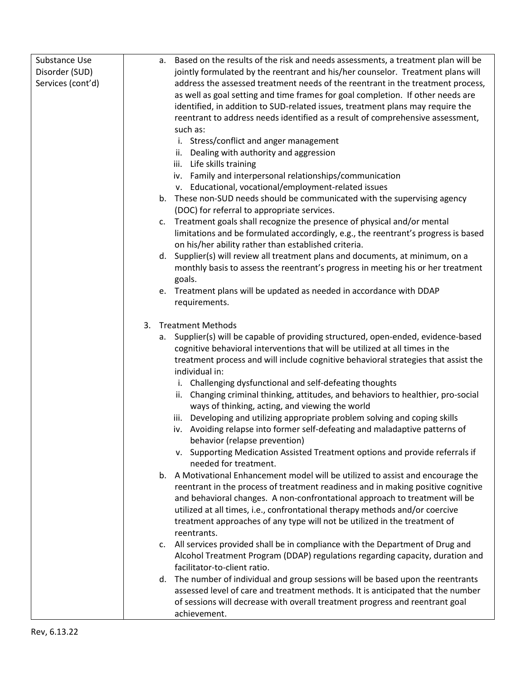| Substance Use     | Based on the results of the risk and needs assessments, a treatment plan will be<br>a. |
|-------------------|----------------------------------------------------------------------------------------|
| Disorder (SUD)    | jointly formulated by the reentrant and his/her counselor. Treatment plans will        |
| Services (cont'd) | address the assessed treatment needs of the reentrant in the treatment process,        |
|                   | as well as goal setting and time frames for goal completion. If other needs are        |
|                   | identified, in addition to SUD-related issues, treatment plans may require the         |
|                   | reentrant to address needs identified as a result of comprehensive assessment,         |
|                   | such as:                                                                               |
|                   | i. Stress/conflict and anger management                                                |
|                   | Dealing with authority and aggression<br>ii.                                           |
|                   | Life skills training<br>iii.                                                           |
|                   | iv. Family and interpersonal relationships/communication                               |
|                   | v. Educational, vocational/employment-related issues                                   |
|                   | b. These non-SUD needs should be communicated with the supervising agency              |
|                   | (DOC) for referral to appropriate services.                                            |
|                   | c. Treatment goals shall recognize the presence of physical and/or mental              |
|                   | limitations and be formulated accordingly, e.g., the reentrant's progress is based     |
|                   | on his/her ability rather than established criteria.                                   |
|                   | Supplier(s) will review all treatment plans and documents, at minimum, on a<br>d.      |
|                   | monthly basis to assess the reentrant's progress in meeting his or her treatment       |
|                   | goals.                                                                                 |
|                   | e. Treatment plans will be updated as needed in accordance with DDAP                   |
|                   | requirements.                                                                          |
|                   |                                                                                        |
|                   | 3. Treatment Methods                                                                   |
|                   | a. Supplier(s) will be capable of providing structured, open-ended, evidence-based     |
|                   | cognitive behavioral interventions that will be utilized at all times in the           |
|                   | treatment process and will include cognitive behavioral strategies that assist the     |
|                   | individual in:                                                                         |
|                   | i. Challenging dysfunctional and self-defeating thoughts                               |
|                   | Changing criminal thinking, attitudes, and behaviors to healthier, pro-social<br>ii.   |
|                   | ways of thinking, acting, and viewing the world                                        |
|                   | iii. Developing and utilizing appropriate problem solving and coping skills            |
|                   | iv. Avoiding relapse into former self-defeating and maladaptive patterns of            |
|                   | behavior (relapse prevention)                                                          |
|                   | v. Supporting Medication Assisted Treatment options and provide referrals if           |
|                   | needed for treatment.                                                                  |
|                   | A Motivational Enhancement model will be utilized to assist and encourage the<br>b.    |
|                   | reentrant in the process of treatment readiness and in making positive cognitive       |
|                   | and behavioral changes. A non-confrontational approach to treatment will be            |
|                   | utilized at all times, i.e., confrontational therapy methods and/or coercive           |
|                   | treatment approaches of any type will not be utilized in the treatment of              |
|                   | reentrants.                                                                            |
|                   | c. All services provided shall be in compliance with the Department of Drug and        |
|                   | Alcohol Treatment Program (DDAP) regulations regarding capacity, duration and          |
|                   | facilitator-to-client ratio.                                                           |
|                   | The number of individual and group sessions will be based upon the reentrants<br>d.    |
|                   | assessed level of care and treatment methods. It is anticipated that the number        |
|                   | of sessions will decrease with overall treatment progress and reentrant goal           |
|                   | achievement.                                                                           |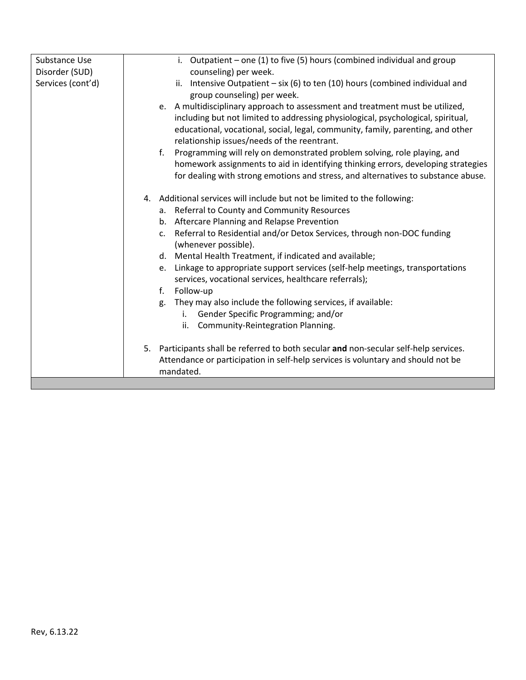| Substance Use     | i. Outpatient - one (1) to five (5) hours (combined individual and group                 |
|-------------------|------------------------------------------------------------------------------------------|
| Disorder (SUD)    | counseling) per week.                                                                    |
| Services (cont'd) | ii. Intensive Outpatient $-$ six (6) to ten (10) hours (combined individual and          |
|                   | group counseling) per week.                                                              |
|                   | e. A multidisciplinary approach to assessment and treatment must be utilized,            |
|                   | including but not limited to addressing physiological, psychological, spiritual,         |
|                   | educational, vocational, social, legal, community, family, parenting, and other          |
|                   | relationship issues/needs of the reentrant.                                              |
|                   | Programming will rely on demonstrated problem solving, role playing, and<br>f.           |
|                   | homework assignments to aid in identifying thinking errors, developing strategies        |
|                   | for dealing with strong emotions and stress, and alternatives to substance abuse.        |
|                   |                                                                                          |
|                   | Additional services will include but not be limited to the following:<br>4.              |
|                   | a. Referral to County and Community Resources                                            |
|                   | b. Aftercare Planning and Relapse Prevention                                             |
|                   | c. Referral to Residential and/or Detox Services, through non-DOC funding                |
|                   | (whenever possible).                                                                     |
|                   | d. Mental Health Treatment, if indicated and available;                                  |
|                   | e. Linkage to appropriate support services (self-help meetings, transportations          |
|                   | services, vocational services, healthcare referrals);                                    |
|                   | Follow-up<br>f.                                                                          |
|                   | They may also include the following services, if available:<br>g.                        |
|                   | Gender Specific Programming; and/or<br>i.                                                |
|                   | Community-Reintegration Planning.<br>ii.                                                 |
|                   |                                                                                          |
|                   | Participants shall be referred to both secular and non-secular self-help services.<br>5. |
|                   | Attendance or participation in self-help services is voluntary and should not be         |
|                   | mandated.                                                                                |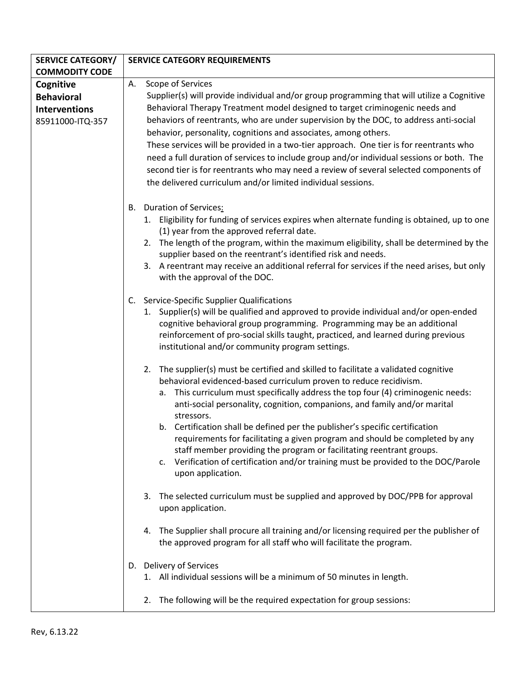| <b>SERVICE CATEGORY/</b> | <b>SERVICE CATEGORY REQUIREMENTS</b>                                                                                                                                |
|--------------------------|---------------------------------------------------------------------------------------------------------------------------------------------------------------------|
| <b>COMMODITY CODE</b>    |                                                                                                                                                                     |
| Cognitive                | Scope of Services<br>А.                                                                                                                                             |
| <b>Behavioral</b>        | Supplier(s) will provide individual and/or group programming that will utilize a Cognitive                                                                          |
| <b>Interventions</b>     | Behavioral Therapy Treatment model designed to target criminogenic needs and                                                                                        |
| 85911000-ITQ-357         | behaviors of reentrants, who are under supervision by the DOC, to address anti-social                                                                               |
|                          | behavior, personality, cognitions and associates, among others.                                                                                                     |
|                          | These services will be provided in a two-tier approach. One tier is for reentrants who                                                                              |
|                          | need a full duration of services to include group and/or individual sessions or both. The                                                                           |
|                          | second tier is for reentrants who may need a review of several selected components of                                                                               |
|                          | the delivered curriculum and/or limited individual sessions.                                                                                                        |
|                          |                                                                                                                                                                     |
|                          | B. Duration of Services:                                                                                                                                            |
|                          | 1. Eligibility for funding of services expires when alternate funding is obtained, up to one<br>(1) year from the approved referral date.                           |
|                          | 2. The length of the program, within the maximum eligibility, shall be determined by the<br>supplier based on the reentrant's identified risk and needs.            |
|                          | 3. A reentrant may receive an additional referral for services if the need arises, but only<br>with the approval of the DOC.                                        |
|                          | C. Service-Specific Supplier Qualifications                                                                                                                         |
|                          | 1. Supplier(s) will be qualified and approved to provide individual and/or open-ended                                                                               |
|                          | cognitive behavioral group programming. Programming may be an additional                                                                                            |
|                          | reinforcement of pro-social skills taught, practiced, and learned during previous                                                                                   |
|                          | institutional and/or community program settings.                                                                                                                    |
|                          | The supplier(s) must be certified and skilled to facilitate a validated cognitive<br>2.                                                                             |
|                          | behavioral evidenced-based curriculum proven to reduce recidivism.                                                                                                  |
|                          | a. This curriculum must specifically address the top four (4) criminogenic needs:                                                                                   |
|                          | anti-social personality, cognition, companions, and family and/or marital                                                                                           |
|                          | stressors.                                                                                                                                                          |
|                          | b. Certification shall be defined per the publisher's specific certification                                                                                        |
|                          | requirements for facilitating a given program and should be completed by any                                                                                        |
|                          | staff member providing the program or facilitating reentrant groups.                                                                                                |
|                          | c. Verification of certification and/or training must be provided to the DOC/Parole<br>upon application.                                                            |
|                          | The selected curriculum must be supplied and approved by DOC/PPB for approval<br>3.<br>upon application.                                                            |
|                          | The Supplier shall procure all training and/or licensing required per the publisher of<br>4.<br>the approved program for all staff who will facilitate the program. |
|                          | D. Delivery of Services                                                                                                                                             |
|                          | 1. All individual sessions will be a minimum of 50 minutes in length.                                                                                               |
|                          | The following will be the required expectation for group sessions:<br>2.                                                                                            |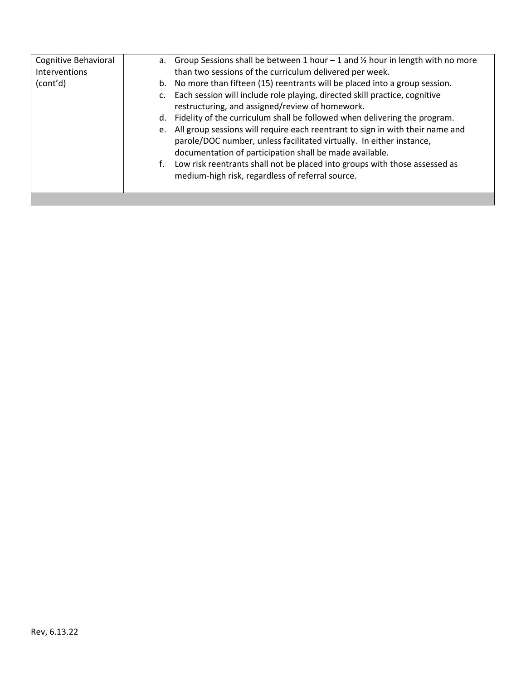| Cognitive Behavioral<br>Interventions | a. Group Sessions shall be between 1 hour $-1$ and $\frac{1}{2}$ hour in length with no more<br>than two sessions of the curriculum delivered per week.                                                             |
|---------------------------------------|---------------------------------------------------------------------------------------------------------------------------------------------------------------------------------------------------------------------|
| (cont'd)                              | b. No more than fifteen (15) reentrants will be placed into a group session.                                                                                                                                        |
|                                       | Each session will include role playing, directed skill practice, cognitive<br>$C_{\star}$                                                                                                                           |
|                                       | restructuring, and assigned/review of homework.                                                                                                                                                                     |
|                                       | d. Fidelity of the curriculum shall be followed when delivering the program.                                                                                                                                        |
|                                       | e. All group sessions will require each reentrant to sign in with their name and<br>parole/DOC number, unless facilitated virtually. In either instance,<br>documentation of participation shall be made available. |
|                                       | Low risk reentrants shall not be placed into groups with those assessed as<br>medium-high risk, regardless of referral source.                                                                                      |
|                                       |                                                                                                                                                                                                                     |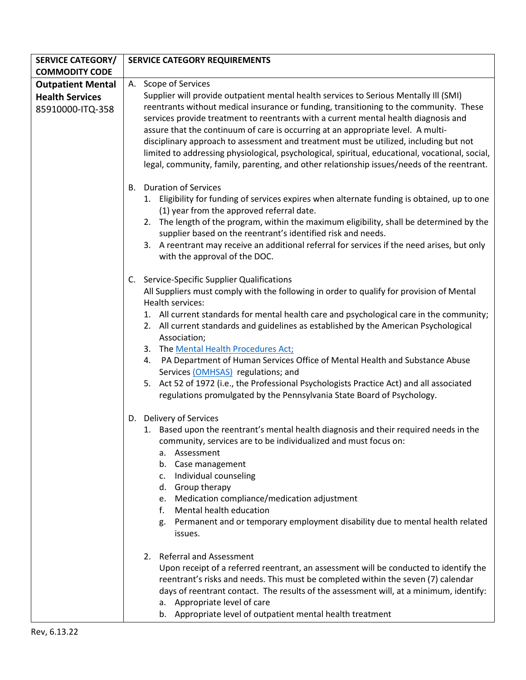| <b>SERVICE CATEGORY/</b>                   | <b>SERVICE CATEGORY REQUIREMENTS</b>                                                                                                                                                                                                                                                                                                                                                                                                                                                                                                                                                                                                                                                                                                                                                                                                                                               |
|--------------------------------------------|------------------------------------------------------------------------------------------------------------------------------------------------------------------------------------------------------------------------------------------------------------------------------------------------------------------------------------------------------------------------------------------------------------------------------------------------------------------------------------------------------------------------------------------------------------------------------------------------------------------------------------------------------------------------------------------------------------------------------------------------------------------------------------------------------------------------------------------------------------------------------------|
| <b>COMMODITY CODE</b>                      |                                                                                                                                                                                                                                                                                                                                                                                                                                                                                                                                                                                                                                                                                                                                                                                                                                                                                    |
| <b>Outpatient Mental</b>                   | A. Scope of Services                                                                                                                                                                                                                                                                                                                                                                                                                                                                                                                                                                                                                                                                                                                                                                                                                                                               |
| <b>Health Services</b><br>85910000-ITQ-358 | Supplier will provide outpatient mental health services to Serious Mentally III (SMI)<br>reentrants without medical insurance or funding, transitioning to the community. These<br>services provide treatment to reentrants with a current mental health diagnosis and<br>assure that the continuum of care is occurring at an appropriate level. A multi-<br>disciplinary approach to assessment and treatment must be utilized, including but not<br>limited to addressing physiological, psychological, spiritual, educational, vocational, social,<br>legal, community, family, parenting, and other relationship issues/needs of the reentrant.                                                                                                                                                                                                                               |
|                                            | <b>Duration of Services</b><br>В.<br>1. Eligibility for funding of services expires when alternate funding is obtained, up to one<br>(1) year from the approved referral date.<br>2. The length of the program, within the maximum eligibility, shall be determined by the<br>supplier based on the reentrant's identified risk and needs.<br>3. A reentrant may receive an additional referral for services if the need arises, but only<br>with the approval of the DOC.                                                                                                                                                                                                                                                                                                                                                                                                         |
|                                            | C. Service-Specific Supplier Qualifications<br>All Suppliers must comply with the following in order to qualify for provision of Mental<br>Health services:<br>1. All current standards for mental health care and psychological care in the community;<br>2. All current standards and guidelines as established by the American Psychological<br>Association;<br>3. The Mental Health Procedures Act;<br>PA Department of Human Services Office of Mental Health and Substance Abuse<br>4.<br>Services (OMHSAS) regulations; and<br>5. Act 52 of 1972 (i.e., the Professional Psychologists Practice Act) and all associated<br>regulations promulgated by the Pennsylvania State Board of Psychology.                                                                                                                                                                           |
|                                            | D. Delivery of Services<br>1. Based upon the reentrant's mental health diagnosis and their required needs in the<br>community, services are to be individualized and must focus on:<br>Assessment<br>a.<br>Case management<br>b.<br>Individual counseling<br>c.<br>Group therapy<br>d.<br>Medication compliance/medication adjustment<br>e.<br>Mental health education<br>f.<br>Permanent and or temporary employment disability due to mental health related<br>g.<br>issues.<br>2. Referral and Assessment<br>Upon receipt of a referred reentrant, an assessment will be conducted to identify the<br>reentrant's risks and needs. This must be completed within the seven (7) calendar<br>days of reentrant contact. The results of the assessment will, at a minimum, identify:<br>a. Appropriate level of care<br>b. Appropriate level of outpatient mental health treatment |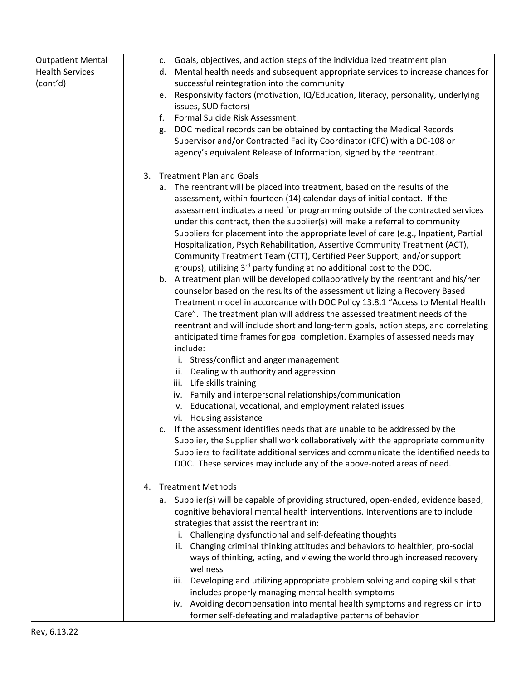| <b>Outpatient Mental</b> | c. Goals, objectives, and action steps of the individualized treatment plan                                                                           |
|--------------------------|-------------------------------------------------------------------------------------------------------------------------------------------------------|
| <b>Health Services</b>   | d. Mental health needs and subsequent appropriate services to increase chances for                                                                    |
| (cont'd)                 | successful reintegration into the community                                                                                                           |
|                          | e. Responsivity factors (motivation, IQ/Education, literacy, personality, underlying                                                                  |
|                          | issues, SUD factors)                                                                                                                                  |
|                          | f.<br>Formal Suicide Risk Assessment.                                                                                                                 |
|                          | DOC medical records can be obtained by contacting the Medical Records<br>g.                                                                           |
|                          | Supervisor and/or Contracted Facility Coordinator (CFC) with a DC-108 or                                                                              |
|                          | agency's equivalent Release of Information, signed by the reentrant.                                                                                  |
|                          |                                                                                                                                                       |
|                          | 3. Treatment Plan and Goals                                                                                                                           |
|                          | a. The reentrant will be placed into treatment, based on the results of the                                                                           |
|                          | assessment, within fourteen (14) calendar days of initial contact. If the                                                                             |
|                          | assessment indicates a need for programming outside of the contracted services                                                                        |
|                          | under this contract, then the supplier(s) will make a referral to community                                                                           |
|                          | Suppliers for placement into the appropriate level of care (e.g., Inpatient, Partial                                                                  |
|                          | Hospitalization, Psych Rehabilitation, Assertive Community Treatment (ACT),<br>Community Treatment Team (CTT), Certified Peer Support, and/or support |
|                          | groups), utilizing 3rd party funding at no additional cost to the DOC.                                                                                |
|                          | b. A treatment plan will be developed collaboratively by the reentrant and his/her                                                                    |
|                          | counselor based on the results of the assessment utilizing a Recovery Based                                                                           |
|                          | Treatment model in accordance with DOC Policy 13.8.1 "Access to Mental Health                                                                         |
|                          | Care". The treatment plan will address the assessed treatment needs of the                                                                            |
|                          | reentrant and will include short and long-term goals, action steps, and correlating                                                                   |
|                          | anticipated time frames for goal completion. Examples of assessed needs may                                                                           |
|                          | include:                                                                                                                                              |
|                          | i. Stress/conflict and anger management                                                                                                               |
|                          | ii. Dealing with authority and aggression                                                                                                             |
|                          | iii. Life skills training                                                                                                                             |
|                          | iv. Family and interpersonal relationships/communication                                                                                              |
|                          | v. Educational, vocational, and employment related issues                                                                                             |
|                          | vi. Housing assistance                                                                                                                                |
|                          | c. If the assessment identifies needs that are unable to be addressed by the                                                                          |
|                          | Supplier, the Supplier shall work collaboratively with the appropriate community                                                                      |
|                          | Suppliers to facilitate additional services and communicate the identified needs to                                                                   |
|                          | DOC. These services may include any of the above-noted areas of need.                                                                                 |
|                          | <b>Treatment Methods</b><br>4.                                                                                                                        |
|                          | a. Supplier(s) will be capable of providing structured, open-ended, evidence based,                                                                   |
|                          | cognitive behavioral mental health interventions. Interventions are to include                                                                        |
|                          | strategies that assist the reentrant in:                                                                                                              |
|                          | i. Challenging dysfunctional and self-defeating thoughts                                                                                              |
|                          | Changing criminal thinking attitudes and behaviors to healthier, pro-social<br>ii.                                                                    |
|                          | ways of thinking, acting, and viewing the world through increased recovery                                                                            |
|                          | wellness                                                                                                                                              |
|                          | iii. Developing and utilizing appropriate problem solving and coping skills that                                                                      |
|                          | includes properly managing mental health symptoms                                                                                                     |
|                          | iv. Avoiding decompensation into mental health symptoms and regression into                                                                           |
|                          | former self-defeating and maladaptive patterns of behavior                                                                                            |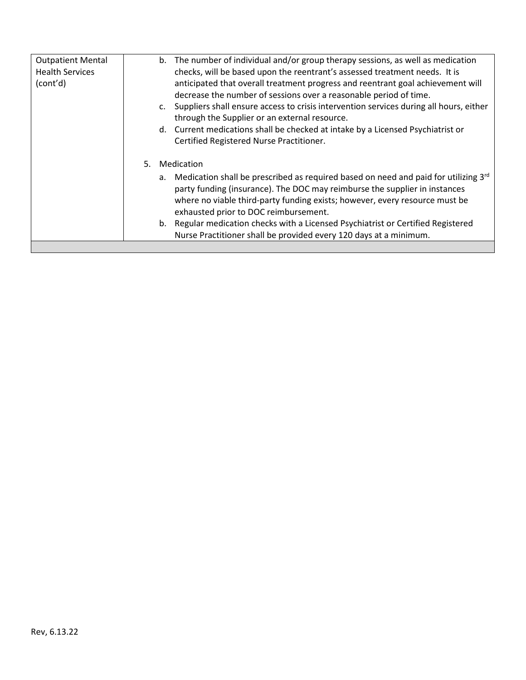| <b>Outpatient Mental</b> | b. The number of individual and/or group therapy sessions, as well as medication          |
|--------------------------|-------------------------------------------------------------------------------------------|
| <b>Health Services</b>   | checks, will be based upon the reentrant's assessed treatment needs. It is                |
| (cont'd)                 | anticipated that overall treatment progress and reentrant goal achievement will           |
|                          | decrease the number of sessions over a reasonable period of time.                         |
|                          | c. Suppliers shall ensure access to crisis intervention services during all hours, either |
|                          | through the Supplier or an external resource.                                             |
|                          | d. Current medications shall be checked at intake by a Licensed Psychiatrist or           |
|                          | Certified Registered Nurse Practitioner.                                                  |
|                          | Medication<br>5.                                                                          |
|                          | a. Medication shall be prescribed as required based on need and paid for utilizing 3rd    |
|                          | party funding (insurance). The DOC may reimburse the supplier in instances                |
|                          | where no viable third-party funding exists; however, every resource must be               |
|                          | exhausted prior to DOC reimbursement.                                                     |
|                          | b. Regular medication checks with a Licensed Psychiatrist or Certified Registered         |
|                          | Nurse Practitioner shall be provided every 120 days at a minimum.                         |
|                          |                                                                                           |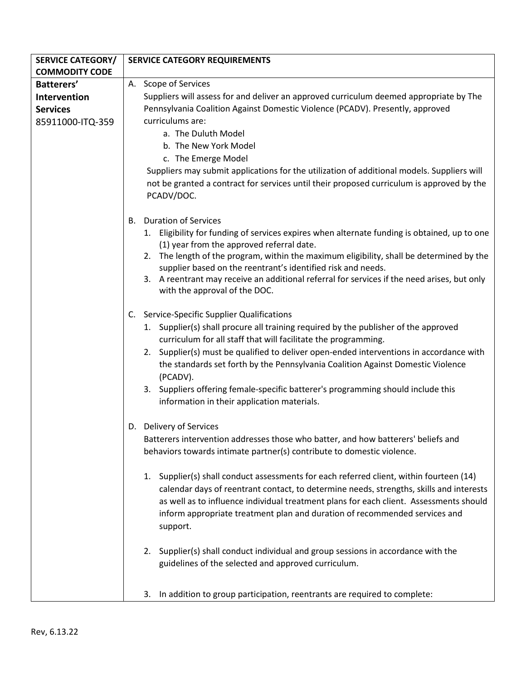| <b>SERVICE CATEGORY/</b> | <b>SERVICE CATEGORY REQUIREMENTS</b>                                                                                                                                                   |
|--------------------------|----------------------------------------------------------------------------------------------------------------------------------------------------------------------------------------|
| <b>COMMODITY CODE</b>    |                                                                                                                                                                                        |
| Batterers'               | A. Scope of Services                                                                                                                                                                   |
| Intervention             | Suppliers will assess for and deliver an approved curriculum deemed appropriate by The                                                                                                 |
| <b>Services</b>          | Pennsylvania Coalition Against Domestic Violence (PCADV). Presently, approved                                                                                                          |
| 85911000-ITQ-359         | curriculums are:                                                                                                                                                                       |
|                          | a. The Duluth Model                                                                                                                                                                    |
|                          | b. The New York Model                                                                                                                                                                  |
|                          | c. The Emerge Model                                                                                                                                                                    |
|                          | Suppliers may submit applications for the utilization of additional models. Suppliers will                                                                                             |
|                          | not be granted a contract for services until their proposed curriculum is approved by the<br>PCADV/DOC.                                                                                |
|                          |                                                                                                                                                                                        |
|                          | <b>Duration of Services</b><br>В.                                                                                                                                                      |
|                          | 1. Eligibility for funding of services expires when alternate funding is obtained, up to one<br>(1) year from the approved referral date.                                              |
|                          | 2. The length of the program, within the maximum eligibility, shall be determined by the<br>supplier based on the reentrant's identified risk and needs.                               |
|                          | 3. A reentrant may receive an additional referral for services if the need arises, but only<br>with the approval of the DOC.                                                           |
|                          | C. Service-Specific Supplier Qualifications                                                                                                                                            |
|                          | 1. Supplier(s) shall procure all training required by the publisher of the approved<br>curriculum for all staff that will facilitate the programming.                                  |
|                          | 2. Supplier(s) must be qualified to deliver open-ended interventions in accordance with<br>the standards set forth by the Pennsylvania Coalition Against Domestic Violence<br>(PCADV). |
|                          | 3. Suppliers offering female-specific batterer's programming should include this<br>information in their application materials.                                                        |
|                          | D. Delivery of Services                                                                                                                                                                |
|                          | Batterers intervention addresses those who batter, and how batterers' beliefs and<br>behaviors towards intimate partner(s) contribute to domestic violence.                            |
|                          | 1. Supplier(s) shall conduct assessments for each referred client, within fourteen (14)<br>calendar days of reentrant contact, to determine needs, strengths, skills and interests     |
|                          | as well as to influence individual treatment plans for each client. Assessments should<br>inform appropriate treatment plan and duration of recommended services and<br>support.       |
|                          | Supplier(s) shall conduct individual and group sessions in accordance with the<br>2.<br>guidelines of the selected and approved curriculum.                                            |
|                          | In addition to group participation, reentrants are required to complete:<br>3.                                                                                                         |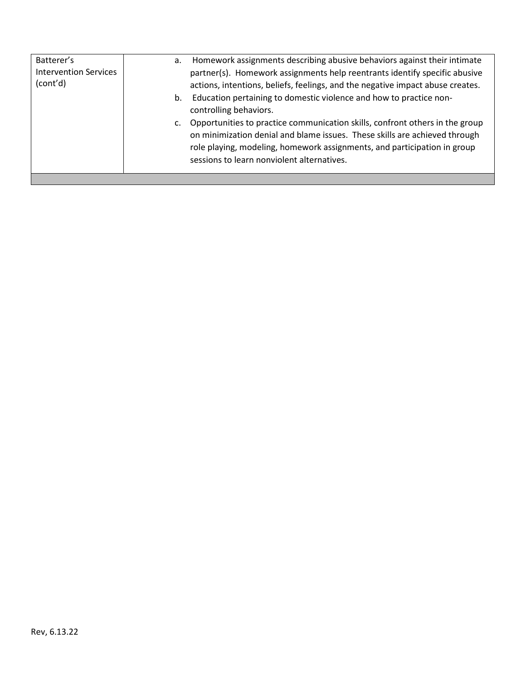| Batterer's<br><b>Intervention Services</b><br>(cont'd) | а.<br>b.<br>c. | Homework assignments describing abusive behaviors against their intimate<br>partner(s). Homework assignments help reentrants identify specific abusive<br>actions, intentions, beliefs, feelings, and the negative impact abuse creates.<br>Education pertaining to domestic violence and how to practice non-<br>controlling behaviors.<br>Opportunities to practice communication skills, confront others in the group |
|--------------------------------------------------------|----------------|--------------------------------------------------------------------------------------------------------------------------------------------------------------------------------------------------------------------------------------------------------------------------------------------------------------------------------------------------------------------------------------------------------------------------|
|                                                        |                | on minimization denial and blame issues. These skills are achieved through<br>role playing, modeling, homework assignments, and participation in group<br>sessions to learn nonviolent alternatives.                                                                                                                                                                                                                     |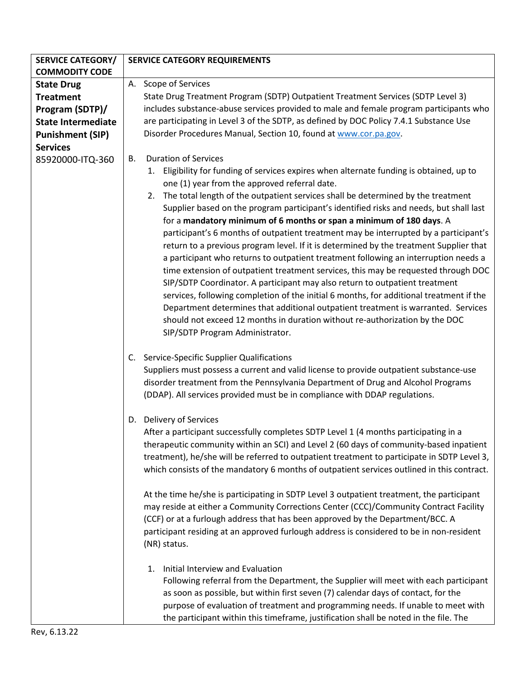| <b>SERVICE CATEGORY/</b>  | <b>SERVICE CATEGORY REQUIREMENTS</b>                                                                                                                                           |
|---------------------------|--------------------------------------------------------------------------------------------------------------------------------------------------------------------------------|
| <b>COMMODITY CODE</b>     |                                                                                                                                                                                |
| <b>State Drug</b>         | A. Scope of Services                                                                                                                                                           |
| <b>Treatment</b>          | State Drug Treatment Program (SDTP) Outpatient Treatment Services (SDTP Level 3)                                                                                               |
| Program (SDTP)/           | includes substance-abuse services provided to male and female program participants who                                                                                         |
| <b>State Intermediate</b> | are participating in Level 3 of the SDTP, as defined by DOC Policy 7.4.1 Substance Use                                                                                         |
| <b>Punishment (SIP)</b>   | Disorder Procedures Manual, Section 10, found at www.cor.pa.gov.                                                                                                               |
| <b>Services</b>           |                                                                                                                                                                                |
| 85920000-ITQ-360          | <b>Duration of Services</b><br>В.                                                                                                                                              |
|                           | 1. Eligibility for funding of services expires when alternate funding is obtained, up to                                                                                       |
|                           | one (1) year from the approved referral date.                                                                                                                                  |
|                           | 2. The total length of the outpatient services shall be determined by the treatment                                                                                            |
|                           | Supplier based on the program participant's identified risks and needs, but shall last                                                                                         |
|                           | for a mandatory minimum of 6 months or span a minimum of 180 days. A                                                                                                           |
|                           |                                                                                                                                                                                |
|                           | participant's 6 months of outpatient treatment may be interrupted by a participant's<br>return to a previous program level. If it is determined by the treatment Supplier that |
|                           |                                                                                                                                                                                |
|                           | a participant who returns to outpatient treatment following an interruption needs a                                                                                            |
|                           | time extension of outpatient treatment services, this may be requested through DOC                                                                                             |
|                           | SIP/SDTP Coordinator. A participant may also return to outpatient treatment                                                                                                    |
|                           | services, following completion of the initial 6 months, for additional treatment if the                                                                                        |
|                           | Department determines that additional outpatient treatment is warranted. Services                                                                                              |
|                           | should not exceed 12 months in duration without re-authorization by the DOC                                                                                                    |
|                           | SIP/SDTP Program Administrator.                                                                                                                                                |
|                           |                                                                                                                                                                                |
|                           | Service-Specific Supplier Qualifications<br>C.                                                                                                                                 |
|                           | Suppliers must possess a current and valid license to provide outpatient substance-use                                                                                         |
|                           | disorder treatment from the Pennsylvania Department of Drug and Alcohol Programs                                                                                               |
|                           | (DDAP). All services provided must be in compliance with DDAP regulations.                                                                                                     |
|                           | D. Delivery of Services                                                                                                                                                        |
|                           | After a participant successfully completes SDTP Level 1 (4 months participating in a                                                                                           |
|                           | therapeutic community within an SCI) and Level 2 (60 days of community-based inpatient                                                                                         |
|                           | treatment), he/she will be referred to outpatient treatment to participate in SDTP Level 3,                                                                                    |
|                           | which consists of the mandatory 6 months of outpatient services outlined in this contract.                                                                                     |
|                           |                                                                                                                                                                                |
|                           | At the time he/she is participating in SDTP Level 3 outpatient treatment, the participant                                                                                      |
|                           | may reside at either a Community Corrections Center (CCC)/Community Contract Facility                                                                                          |
|                           | (CCF) or at a furlough address that has been approved by the Department/BCC. A                                                                                                 |
|                           | participant residing at an approved furlough address is considered to be in non-resident                                                                                       |
|                           | (NR) status.                                                                                                                                                                   |
|                           |                                                                                                                                                                                |
|                           | Initial Interview and Evaluation<br>1.                                                                                                                                         |
|                           | Following referral from the Department, the Supplier will meet with each participant                                                                                           |
|                           | as soon as possible, but within first seven (7) calendar days of contact, for the                                                                                              |
|                           | purpose of evaluation of treatment and programming needs. If unable to meet with                                                                                               |
|                           | the participant within this timeframe, justification shall be noted in the file. The                                                                                           |
|                           |                                                                                                                                                                                |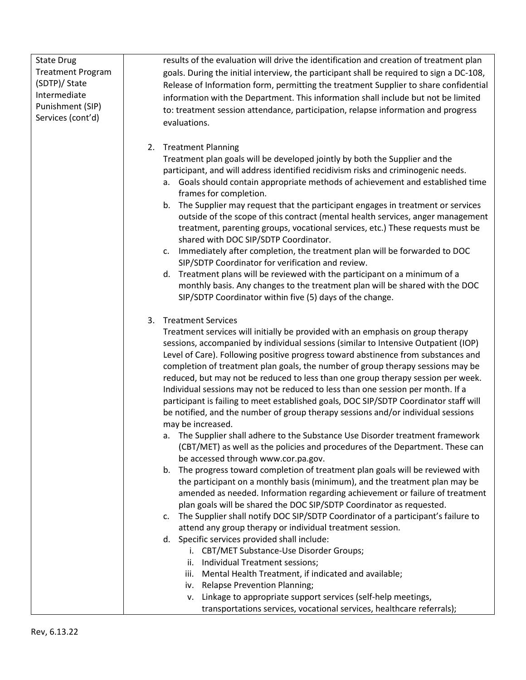| <b>Treatment Program</b><br>goals. During the initial interview, the participant shall be required to sign a DC-108,<br>(SDTP)/ State<br>Release of Information form, permitting the treatment Supplier to share confidential<br>Intermediate<br>information with the Department. This information shall include but not be limited<br>Punishment (SIP)<br>to: treatment session attendance, participation, relapse information and progress<br>Services (cont'd)<br>evaluations.<br>2. Treatment Planning<br>Treatment plan goals will be developed jointly by both the Supplier and the<br>participant, and will address identified recidivism risks and criminogenic needs.<br>a. Goals should contain appropriate methods of achievement and established time<br>frames for completion.<br>b. The Supplier may request that the participant engages in treatment or services<br>treatment, parenting groups, vocational services, etc.) These requests must be<br>shared with DOC SIP/SDTP Coordinator.<br>Immediately after completion, the treatment plan will be forwarded to DOC<br>c.<br>SIP/SDTP Coordinator for verification and review.<br>d. Treatment plans will be reviewed with the participant on a minimum of a<br>monthly basis. Any changes to the treatment plan will be shared with the DOC<br>SIP/SDTP Coordinator within five (5) days of the change.<br>3. Treatment Services<br>Treatment services will initially be provided with an emphasis on group therapy<br>sessions, accompanied by individual sessions (similar to Intensive Outpatient (IOP)<br>Level of Care). Following positive progress toward abstinence from substances and |                   |                                                                                        |
|-----------------------------------------------------------------------------------------------------------------------------------------------------------------------------------------------------------------------------------------------------------------------------------------------------------------------------------------------------------------------------------------------------------------------------------------------------------------------------------------------------------------------------------------------------------------------------------------------------------------------------------------------------------------------------------------------------------------------------------------------------------------------------------------------------------------------------------------------------------------------------------------------------------------------------------------------------------------------------------------------------------------------------------------------------------------------------------------------------------------------------------------------------------------------------------------------------------------------------------------------------------------------------------------------------------------------------------------------------------------------------------------------------------------------------------------------------------------------------------------------------------------------------------------------------------------------------------------------------------------------------------------------------------------------|-------------------|----------------------------------------------------------------------------------------|
|                                                                                                                                                                                                                                                                                                                                                                                                                                                                                                                                                                                                                                                                                                                                                                                                                                                                                                                                                                                                                                                                                                                                                                                                                                                                                                                                                                                                                                                                                                                                                                                                                                                                       | <b>State Drug</b> | results of the evaluation will drive the identification and creation of treatment plan |
|                                                                                                                                                                                                                                                                                                                                                                                                                                                                                                                                                                                                                                                                                                                                                                                                                                                                                                                                                                                                                                                                                                                                                                                                                                                                                                                                                                                                                                                                                                                                                                                                                                                                       |                   |                                                                                        |
|                                                                                                                                                                                                                                                                                                                                                                                                                                                                                                                                                                                                                                                                                                                                                                                                                                                                                                                                                                                                                                                                                                                                                                                                                                                                                                                                                                                                                                                                                                                                                                                                                                                                       |                   |                                                                                        |
|                                                                                                                                                                                                                                                                                                                                                                                                                                                                                                                                                                                                                                                                                                                                                                                                                                                                                                                                                                                                                                                                                                                                                                                                                                                                                                                                                                                                                                                                                                                                                                                                                                                                       |                   |                                                                                        |
|                                                                                                                                                                                                                                                                                                                                                                                                                                                                                                                                                                                                                                                                                                                                                                                                                                                                                                                                                                                                                                                                                                                                                                                                                                                                                                                                                                                                                                                                                                                                                                                                                                                                       |                   |                                                                                        |
|                                                                                                                                                                                                                                                                                                                                                                                                                                                                                                                                                                                                                                                                                                                                                                                                                                                                                                                                                                                                                                                                                                                                                                                                                                                                                                                                                                                                                                                                                                                                                                                                                                                                       |                   |                                                                                        |
|                                                                                                                                                                                                                                                                                                                                                                                                                                                                                                                                                                                                                                                                                                                                                                                                                                                                                                                                                                                                                                                                                                                                                                                                                                                                                                                                                                                                                                                                                                                                                                                                                                                                       |                   |                                                                                        |
|                                                                                                                                                                                                                                                                                                                                                                                                                                                                                                                                                                                                                                                                                                                                                                                                                                                                                                                                                                                                                                                                                                                                                                                                                                                                                                                                                                                                                                                                                                                                                                                                                                                                       |                   |                                                                                        |
|                                                                                                                                                                                                                                                                                                                                                                                                                                                                                                                                                                                                                                                                                                                                                                                                                                                                                                                                                                                                                                                                                                                                                                                                                                                                                                                                                                                                                                                                                                                                                                                                                                                                       |                   |                                                                                        |
|                                                                                                                                                                                                                                                                                                                                                                                                                                                                                                                                                                                                                                                                                                                                                                                                                                                                                                                                                                                                                                                                                                                                                                                                                                                                                                                                                                                                                                                                                                                                                                                                                                                                       |                   |                                                                                        |
|                                                                                                                                                                                                                                                                                                                                                                                                                                                                                                                                                                                                                                                                                                                                                                                                                                                                                                                                                                                                                                                                                                                                                                                                                                                                                                                                                                                                                                                                                                                                                                                                                                                                       |                   |                                                                                        |
|                                                                                                                                                                                                                                                                                                                                                                                                                                                                                                                                                                                                                                                                                                                                                                                                                                                                                                                                                                                                                                                                                                                                                                                                                                                                                                                                                                                                                                                                                                                                                                                                                                                                       |                   |                                                                                        |
|                                                                                                                                                                                                                                                                                                                                                                                                                                                                                                                                                                                                                                                                                                                                                                                                                                                                                                                                                                                                                                                                                                                                                                                                                                                                                                                                                                                                                                                                                                                                                                                                                                                                       |                   |                                                                                        |
|                                                                                                                                                                                                                                                                                                                                                                                                                                                                                                                                                                                                                                                                                                                                                                                                                                                                                                                                                                                                                                                                                                                                                                                                                                                                                                                                                                                                                                                                                                                                                                                                                                                                       |                   |                                                                                        |
|                                                                                                                                                                                                                                                                                                                                                                                                                                                                                                                                                                                                                                                                                                                                                                                                                                                                                                                                                                                                                                                                                                                                                                                                                                                                                                                                                                                                                                                                                                                                                                                                                                                                       |                   | outside of the scope of this contract (mental health services, anger management        |
|                                                                                                                                                                                                                                                                                                                                                                                                                                                                                                                                                                                                                                                                                                                                                                                                                                                                                                                                                                                                                                                                                                                                                                                                                                                                                                                                                                                                                                                                                                                                                                                                                                                                       |                   |                                                                                        |
|                                                                                                                                                                                                                                                                                                                                                                                                                                                                                                                                                                                                                                                                                                                                                                                                                                                                                                                                                                                                                                                                                                                                                                                                                                                                                                                                                                                                                                                                                                                                                                                                                                                                       |                   |                                                                                        |
|                                                                                                                                                                                                                                                                                                                                                                                                                                                                                                                                                                                                                                                                                                                                                                                                                                                                                                                                                                                                                                                                                                                                                                                                                                                                                                                                                                                                                                                                                                                                                                                                                                                                       |                   |                                                                                        |
|                                                                                                                                                                                                                                                                                                                                                                                                                                                                                                                                                                                                                                                                                                                                                                                                                                                                                                                                                                                                                                                                                                                                                                                                                                                                                                                                                                                                                                                                                                                                                                                                                                                                       |                   |                                                                                        |
|                                                                                                                                                                                                                                                                                                                                                                                                                                                                                                                                                                                                                                                                                                                                                                                                                                                                                                                                                                                                                                                                                                                                                                                                                                                                                                                                                                                                                                                                                                                                                                                                                                                                       |                   |                                                                                        |
|                                                                                                                                                                                                                                                                                                                                                                                                                                                                                                                                                                                                                                                                                                                                                                                                                                                                                                                                                                                                                                                                                                                                                                                                                                                                                                                                                                                                                                                                                                                                                                                                                                                                       |                   |                                                                                        |
|                                                                                                                                                                                                                                                                                                                                                                                                                                                                                                                                                                                                                                                                                                                                                                                                                                                                                                                                                                                                                                                                                                                                                                                                                                                                                                                                                                                                                                                                                                                                                                                                                                                                       |                   |                                                                                        |
|                                                                                                                                                                                                                                                                                                                                                                                                                                                                                                                                                                                                                                                                                                                                                                                                                                                                                                                                                                                                                                                                                                                                                                                                                                                                                                                                                                                                                                                                                                                                                                                                                                                                       |                   |                                                                                        |
|                                                                                                                                                                                                                                                                                                                                                                                                                                                                                                                                                                                                                                                                                                                                                                                                                                                                                                                                                                                                                                                                                                                                                                                                                                                                                                                                                                                                                                                                                                                                                                                                                                                                       |                   |                                                                                        |
|                                                                                                                                                                                                                                                                                                                                                                                                                                                                                                                                                                                                                                                                                                                                                                                                                                                                                                                                                                                                                                                                                                                                                                                                                                                                                                                                                                                                                                                                                                                                                                                                                                                                       |                   |                                                                                        |
|                                                                                                                                                                                                                                                                                                                                                                                                                                                                                                                                                                                                                                                                                                                                                                                                                                                                                                                                                                                                                                                                                                                                                                                                                                                                                                                                                                                                                                                                                                                                                                                                                                                                       |                   |                                                                                        |
|                                                                                                                                                                                                                                                                                                                                                                                                                                                                                                                                                                                                                                                                                                                                                                                                                                                                                                                                                                                                                                                                                                                                                                                                                                                                                                                                                                                                                                                                                                                                                                                                                                                                       |                   |                                                                                        |
|                                                                                                                                                                                                                                                                                                                                                                                                                                                                                                                                                                                                                                                                                                                                                                                                                                                                                                                                                                                                                                                                                                                                                                                                                                                                                                                                                                                                                                                                                                                                                                                                                                                                       |                   | completion of treatment plan goals, the number of group therapy sessions may be        |
| reduced, but may not be reduced to less than one group therapy session per week.                                                                                                                                                                                                                                                                                                                                                                                                                                                                                                                                                                                                                                                                                                                                                                                                                                                                                                                                                                                                                                                                                                                                                                                                                                                                                                                                                                                                                                                                                                                                                                                      |                   |                                                                                        |
| Individual sessions may not be reduced to less than one session per month. If a                                                                                                                                                                                                                                                                                                                                                                                                                                                                                                                                                                                                                                                                                                                                                                                                                                                                                                                                                                                                                                                                                                                                                                                                                                                                                                                                                                                                                                                                                                                                                                                       |                   |                                                                                        |
| participant is failing to meet established goals, DOC SIP/SDTP Coordinator staff will                                                                                                                                                                                                                                                                                                                                                                                                                                                                                                                                                                                                                                                                                                                                                                                                                                                                                                                                                                                                                                                                                                                                                                                                                                                                                                                                                                                                                                                                                                                                                                                 |                   |                                                                                        |
| be notified, and the number of group therapy sessions and/or individual sessions                                                                                                                                                                                                                                                                                                                                                                                                                                                                                                                                                                                                                                                                                                                                                                                                                                                                                                                                                                                                                                                                                                                                                                                                                                                                                                                                                                                                                                                                                                                                                                                      |                   |                                                                                        |
| may be increased.                                                                                                                                                                                                                                                                                                                                                                                                                                                                                                                                                                                                                                                                                                                                                                                                                                                                                                                                                                                                                                                                                                                                                                                                                                                                                                                                                                                                                                                                                                                                                                                                                                                     |                   |                                                                                        |
| a. The Supplier shall adhere to the Substance Use Disorder treatment framework                                                                                                                                                                                                                                                                                                                                                                                                                                                                                                                                                                                                                                                                                                                                                                                                                                                                                                                                                                                                                                                                                                                                                                                                                                                                                                                                                                                                                                                                                                                                                                                        |                   |                                                                                        |
| (CBT/MET) as well as the policies and procedures of the Department. These can                                                                                                                                                                                                                                                                                                                                                                                                                                                                                                                                                                                                                                                                                                                                                                                                                                                                                                                                                                                                                                                                                                                                                                                                                                                                                                                                                                                                                                                                                                                                                                                         |                   |                                                                                        |
| be accessed through www.cor.pa.gov.                                                                                                                                                                                                                                                                                                                                                                                                                                                                                                                                                                                                                                                                                                                                                                                                                                                                                                                                                                                                                                                                                                                                                                                                                                                                                                                                                                                                                                                                                                                                                                                                                                   |                   |                                                                                        |
| b. The progress toward completion of treatment plan goals will be reviewed with                                                                                                                                                                                                                                                                                                                                                                                                                                                                                                                                                                                                                                                                                                                                                                                                                                                                                                                                                                                                                                                                                                                                                                                                                                                                                                                                                                                                                                                                                                                                                                                       |                   |                                                                                        |
| the participant on a monthly basis (minimum), and the treatment plan may be                                                                                                                                                                                                                                                                                                                                                                                                                                                                                                                                                                                                                                                                                                                                                                                                                                                                                                                                                                                                                                                                                                                                                                                                                                                                                                                                                                                                                                                                                                                                                                                           |                   |                                                                                        |
| amended as needed. Information regarding achievement or failure of treatment                                                                                                                                                                                                                                                                                                                                                                                                                                                                                                                                                                                                                                                                                                                                                                                                                                                                                                                                                                                                                                                                                                                                                                                                                                                                                                                                                                                                                                                                                                                                                                                          |                   |                                                                                        |
| plan goals will be shared the DOC SIP/SDTP Coordinator as requested.                                                                                                                                                                                                                                                                                                                                                                                                                                                                                                                                                                                                                                                                                                                                                                                                                                                                                                                                                                                                                                                                                                                                                                                                                                                                                                                                                                                                                                                                                                                                                                                                  |                   |                                                                                        |
| The Supplier shall notify DOC SIP/SDTP Coordinator of a participant's failure to<br>c.                                                                                                                                                                                                                                                                                                                                                                                                                                                                                                                                                                                                                                                                                                                                                                                                                                                                                                                                                                                                                                                                                                                                                                                                                                                                                                                                                                                                                                                                                                                                                                                |                   |                                                                                        |
| attend any group therapy or individual treatment session.                                                                                                                                                                                                                                                                                                                                                                                                                                                                                                                                                                                                                                                                                                                                                                                                                                                                                                                                                                                                                                                                                                                                                                                                                                                                                                                                                                                                                                                                                                                                                                                                             |                   |                                                                                        |
| d. Specific services provided shall include:                                                                                                                                                                                                                                                                                                                                                                                                                                                                                                                                                                                                                                                                                                                                                                                                                                                                                                                                                                                                                                                                                                                                                                                                                                                                                                                                                                                                                                                                                                                                                                                                                          |                   |                                                                                        |
| i. CBT/MET Substance-Use Disorder Groups;                                                                                                                                                                                                                                                                                                                                                                                                                                                                                                                                                                                                                                                                                                                                                                                                                                                                                                                                                                                                                                                                                                                                                                                                                                                                                                                                                                                                                                                                                                                                                                                                                             |                   |                                                                                        |
| ii. Individual Treatment sessions;                                                                                                                                                                                                                                                                                                                                                                                                                                                                                                                                                                                                                                                                                                                                                                                                                                                                                                                                                                                                                                                                                                                                                                                                                                                                                                                                                                                                                                                                                                                                                                                                                                    |                   |                                                                                        |
| iii. Mental Health Treatment, if indicated and available;                                                                                                                                                                                                                                                                                                                                                                                                                                                                                                                                                                                                                                                                                                                                                                                                                                                                                                                                                                                                                                                                                                                                                                                                                                                                                                                                                                                                                                                                                                                                                                                                             |                   |                                                                                        |
| iv. Relapse Prevention Planning;                                                                                                                                                                                                                                                                                                                                                                                                                                                                                                                                                                                                                                                                                                                                                                                                                                                                                                                                                                                                                                                                                                                                                                                                                                                                                                                                                                                                                                                                                                                                                                                                                                      |                   |                                                                                        |
| v. Linkage to appropriate support services (self-help meetings,                                                                                                                                                                                                                                                                                                                                                                                                                                                                                                                                                                                                                                                                                                                                                                                                                                                                                                                                                                                                                                                                                                                                                                                                                                                                                                                                                                                                                                                                                                                                                                                                       |                   |                                                                                        |
| transportations services, vocational services, healthcare referrals);                                                                                                                                                                                                                                                                                                                                                                                                                                                                                                                                                                                                                                                                                                                                                                                                                                                                                                                                                                                                                                                                                                                                                                                                                                                                                                                                                                                                                                                                                                                                                                                                 |                   |                                                                                        |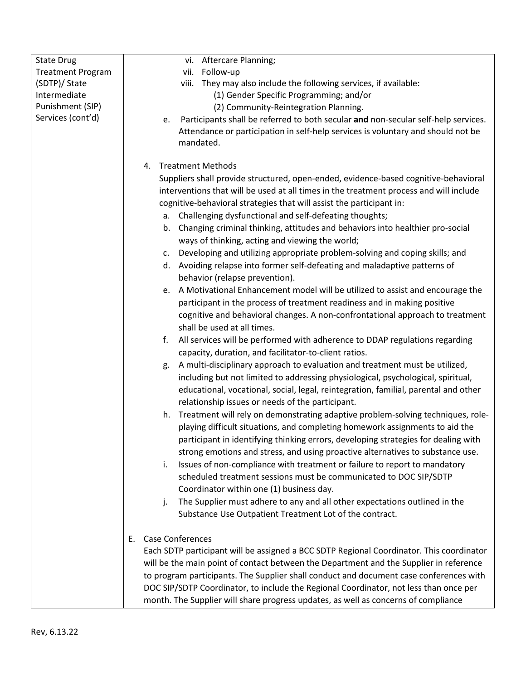| <b>State Drug</b>        | vi. Aftercare Planning;                                                                  |
|--------------------------|------------------------------------------------------------------------------------------|
| <b>Treatment Program</b> | vii. Follow-up                                                                           |
| (SDTP)/ State            | viii. They may also include the following services, if available:                        |
| Intermediate             | (1) Gender Specific Programming; and/or                                                  |
| Punishment (SIP)         | (2) Community-Reintegration Planning.                                                    |
| Services (cont'd)        |                                                                                          |
|                          | Participants shall be referred to both secular and non-secular self-help services.<br>e. |
|                          | Attendance or participation in self-help services is voluntary and should not be         |
|                          | mandated.                                                                                |
|                          |                                                                                          |
|                          | <b>Treatment Methods</b><br>4.                                                           |
|                          | Suppliers shall provide structured, open-ended, evidence-based cognitive-behavioral      |
|                          | interventions that will be used at all times in the treatment process and will include   |
|                          | cognitive-behavioral strategies that will assist the participant in:                     |
|                          | a. Challenging dysfunctional and self-defeating thoughts;                                |
|                          | b. Changing criminal thinking, attitudes and behaviors into healthier pro-social         |
|                          | ways of thinking, acting and viewing the world;                                          |
|                          | Developing and utilizing appropriate problem-solving and coping skills; and<br>c.        |
|                          | d. Avoiding relapse into former self-defeating and maladaptive patterns of               |
|                          | behavior (relapse prevention).                                                           |
|                          | A Motivational Enhancement model will be utilized to assist and encourage the<br>e.      |
|                          | participant in the process of treatment readiness and in making positive                 |
|                          | cognitive and behavioral changes. A non-confrontational approach to treatment            |
|                          | shall be used at all times.                                                              |
|                          | f.<br>All services will be performed with adherence to DDAP regulations regarding        |
|                          |                                                                                          |
|                          | capacity, duration, and facilitator-to-client ratios.                                    |
|                          | A multi-disciplinary approach to evaluation and treatment must be utilized,<br>g.        |
|                          | including but not limited to addressing physiological, psychological, spiritual,         |
|                          | educational, vocational, social, legal, reintegration, familial, parental and other      |
|                          | relationship issues or needs of the participant.                                         |
|                          | Treatment will rely on demonstrating adaptive problem-solving techniques, role-<br>h.    |
|                          | playing difficult situations, and completing homework assignments to aid the             |
|                          | participant in identifying thinking errors, developing strategies for dealing with       |
|                          | strong emotions and stress, and using proactive alternatives to substance use.           |
|                          | Issues of non-compliance with treatment or failure to report to mandatory<br>i.          |
|                          | scheduled treatment sessions must be communicated to DOC SIP/SDTP                        |
|                          | Coordinator within one (1) business day.                                                 |
|                          | The Supplier must adhere to any and all other expectations outlined in the<br>j.         |
|                          | Substance Use Outpatient Treatment Lot of the contract.                                  |
|                          |                                                                                          |
|                          | <b>Case Conferences</b><br>Ε.                                                            |
|                          | Each SDTP participant will be assigned a BCC SDTP Regional Coordinator. This coordinator |
|                          | will be the main point of contact between the Department and the Supplier in reference   |
|                          |                                                                                          |
|                          | to program participants. The Supplier shall conduct and document case conferences with   |
|                          | DOC SIP/SDTP Coordinator, to include the Regional Coordinator, not less than once per    |
|                          | month. The Supplier will share progress updates, as well as concerns of compliance       |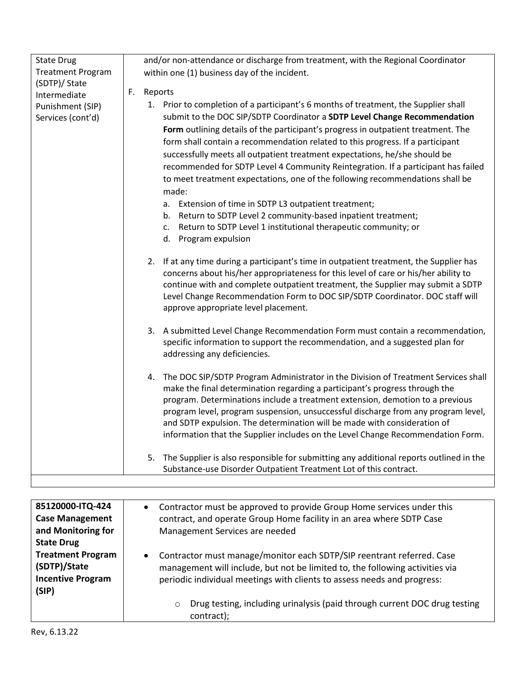| <b>State Drug</b>        |    | and/or non-attendance or discharge from treatment, with the Regional Coordinator                                                                                     |
|--------------------------|----|----------------------------------------------------------------------------------------------------------------------------------------------------------------------|
| <b>Treatment Program</b> |    | within one (1) business day of the incident.                                                                                                                         |
| (SDTP)/ State            |    |                                                                                                                                                                      |
| Intermediate             | F. | Reports                                                                                                                                                              |
| Punishment (SIP)         |    | 1. Prior to completion of a participant's 6 months of treatment, the Supplier shall                                                                                  |
| Services (cont'd)        |    | submit to the DOC SIP/SDTP Coordinator a SDTP Level Change Recommendation                                                                                            |
|                          |    | Form outlining details of the participant's progress in outpatient treatment. The                                                                                    |
|                          |    | form shall contain a recommendation related to this progress. If a participant                                                                                       |
|                          |    | successfully meets all outpatient treatment expectations, he/she should be                                                                                           |
|                          |    | recommended for SDTP Level 4 Community Reintegration. If a participant has failed                                                                                    |
|                          |    | to meet treatment expectations, one of the following recommendations shall be                                                                                        |
|                          |    | made:                                                                                                                                                                |
|                          |    | Extension of time in SDTP L3 outpatient treatment;<br>а.                                                                                                             |
|                          |    | Return to SDTP Level 2 community-based inpatient treatment;<br>b.                                                                                                    |
|                          |    | Return to SDTP Level 1 institutional therapeutic community; or<br>c.                                                                                                 |
|                          |    | Program expulsion<br>d.                                                                                                                                              |
|                          |    | 2. If at any time during a participant's time in outpatient treatment, the Supplier has                                                                              |
|                          |    | concerns about his/her appropriateness for this level of care or his/her ability to                                                                                  |
|                          |    | continue with and complete outpatient treatment, the Supplier may submit a SDTP                                                                                      |
|                          |    | Level Change Recommendation Form to DOC SIP/SDTP Coordinator. DOC staff will                                                                                         |
|                          |    | approve appropriate level placement.                                                                                                                                 |
|                          |    | 3. A submitted Level Change Recommendation Form must contain a recommendation,                                                                                       |
|                          |    | specific information to support the recommendation, and a suggested plan for                                                                                         |
|                          |    | addressing any deficiencies.                                                                                                                                         |
|                          |    |                                                                                                                                                                      |
|                          |    | 4. The DOC SIP/SDTP Program Administrator in the Division of Treatment Services shall<br>make the final determination regarding a participant's progress through the |
|                          |    | program. Determinations include a treatment extension, demotion to a previous                                                                                        |
|                          |    | program level, program suspension, unsuccessful discharge from any program level,                                                                                    |
|                          |    | and SDTP expulsion. The determination will be made with consideration of                                                                                             |
|                          |    | information that the Supplier includes on the Level Change Recommendation Form.                                                                                      |
|                          |    |                                                                                                                                                                      |
|                          |    | The Supplier is also responsible for submitting any additional reports outlined in the<br>5.                                                                         |
|                          |    | Substance-use Disorder Outpatient Treatment Lot of this contract.                                                                                                    |

| 85120000-ITQ-424         | Contractor must be approved to provide Group Home services under this                |
|--------------------------|--------------------------------------------------------------------------------------|
| <b>Case Management</b>   | contract, and operate Group Home facility in an area where SDTP Case                 |
| and Monitoring for       | Management Services are needed                                                       |
| <b>State Drug</b>        |                                                                                      |
| <b>Treatment Program</b> | Contractor must manage/monitor each SDTP/SIP reentrant referred. Case<br>$\bullet$   |
| (SDTP)/State             | management will include, but not be limited to, the following activities via         |
| <b>Incentive Program</b> | periodic individual meetings with clients to assess needs and progress:              |
| (SIP)                    |                                                                                      |
|                          | Drug testing, including urinalysis (paid through current DOC drug testing<br>$\circ$ |
|                          | contract);                                                                           |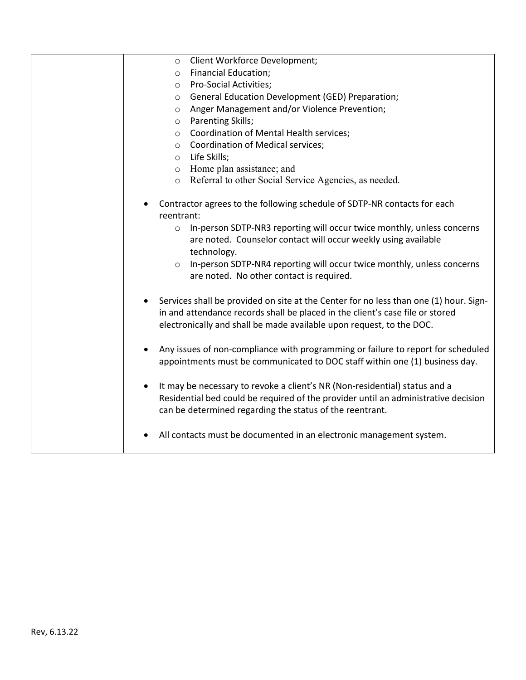| Client Workforce Development;<br>$\circ$                                                                                                                                                                                                       |
|------------------------------------------------------------------------------------------------------------------------------------------------------------------------------------------------------------------------------------------------|
| <b>Financial Education;</b><br>$\circ$                                                                                                                                                                                                         |
| <b>Pro-Social Activities;</b><br>$\circ$                                                                                                                                                                                                       |
| General Education Development (GED) Preparation;<br>$\circ$                                                                                                                                                                                    |
| Anger Management and/or Violence Prevention;<br>$\circ$                                                                                                                                                                                        |
| Parenting Skills;<br>$\circ$                                                                                                                                                                                                                   |
| Coordination of Mental Health services;<br>$\circ$                                                                                                                                                                                             |
| o Coordination of Medical services;                                                                                                                                                                                                            |
| $\circ$ Life Skills;                                                                                                                                                                                                                           |
| o Home plan assistance; and                                                                                                                                                                                                                    |
| o Referral to other Social Service Agencies, as needed.                                                                                                                                                                                        |
| Contractor agrees to the following schedule of SDTP-NR contacts for each<br>reentrant:                                                                                                                                                         |
| In-person SDTP-NR3 reporting will occur twice monthly, unless concerns<br>$\circ$                                                                                                                                                              |
| are noted. Counselor contact will occur weekly using available                                                                                                                                                                                 |
| technology.                                                                                                                                                                                                                                    |
| In-person SDTP-NR4 reporting will occur twice monthly, unless concerns<br>$\circ$                                                                                                                                                              |
| are noted. No other contact is required.                                                                                                                                                                                                       |
|                                                                                                                                                                                                                                                |
| Services shall be provided on site at the Center for no less than one (1) hour. Sign-<br>in and attendance records shall be placed in the client's case file or stored<br>electronically and shall be made available upon request, to the DOC. |
|                                                                                                                                                                                                                                                |
| Any issues of non-compliance with programming or failure to report for scheduled<br>$\bullet$                                                                                                                                                  |
| appointments must be communicated to DOC staff within one (1) business day.                                                                                                                                                                    |
| It may be necessary to revoke a client's NR (Non-residential) status and a<br>$\bullet$                                                                                                                                                        |
| Residential bed could be required of the provider until an administrative decision                                                                                                                                                             |
| can be determined regarding the status of the reentrant.                                                                                                                                                                                       |
|                                                                                                                                                                                                                                                |
| All contacts must be documented in an electronic management system.                                                                                                                                                                            |
|                                                                                                                                                                                                                                                |